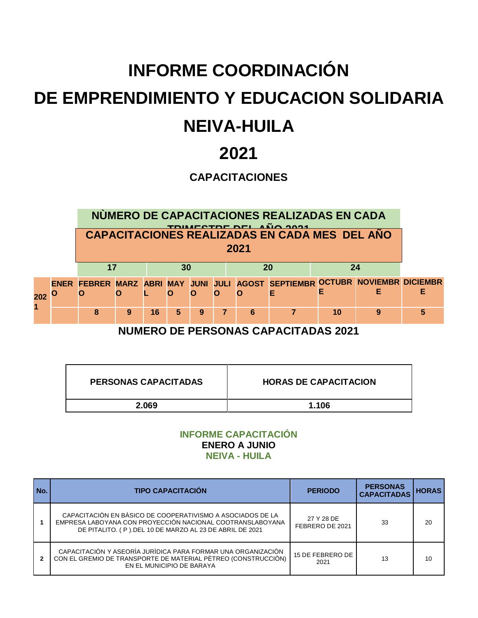## **INFORME COORDINACIÓN DE EMPRENDIMIENTO Y EDUCACION SOLIDARIA NEIVA-HUILA**

### **2021**

#### **CAPACITACIONES**

**NÙMERO DE CAPACITACIONES REALIZADAS EN CADA TRIMESTRE DEL AÑO 2021 CAPACITACIONES REALIZADAS EN CADA MES DEL AÑO 1 TRIMESTRE 2 TRIMESTRE 3 TRIMESTRE 4 TRIMESTRE 17 30 20 24 2021 202 O 1 ENER FEBRER MARZ ABRI MAY JUNI JULI AGOST SEPTIEMBR OCTUBR NOVIEMBR DICIEMBR O O L O O O O E E E E 8 9 16 5 9 7 6 7 10 9 5**

**NUMERO DE PERSONAS CAPACITADAS 2021**

| <b>PERSONAS CAPACITADAS</b> | <b>HORAS DE CAPACITACION</b> |
|-----------------------------|------------------------------|
| 2.069                       | 1.106                        |

#### **INFORME CAPACITACIÓN ENERO A JUNIO NEIVA - HUILA**

| No. | <b>TIPO CAPACITACIÓN</b>                                                                                                                                                           | <b>PERIODO</b>                | <b>PERSONAS</b><br><b>CAPACITADAS</b> | <b>HORAS</b> |
|-----|------------------------------------------------------------------------------------------------------------------------------------------------------------------------------------|-------------------------------|---------------------------------------|--------------|
|     | CAPACITACIÓN EN BÀSICO DE COOPERATIVISMO A ASOCIADOS DE LA<br>EMPRESA LABOYANA CON PROYECCIÓN NACIONAL COOTRANSLABOYANA<br>DE PITALITO. (P).DEL 10 DE MARZO AL 23 DE ABRIL DE 2021 | 27 Y 28 DE<br>FEBRERO DE 2021 | 33                                    | 20           |
|     | CAPACITACIÓN Y ASEORÍA JURÍDICA PARA FORMAR UNA ORGANIZACIÓN<br>CON EL GREMIO DE TRANSPORTE DE MATERIAL PÈTREO (CONSTRUCCIÒN)<br>EN EL MUNICIPIO DE BARAYA                         | 15 DE FEBRERO DE<br>2021      | 13                                    | 10           |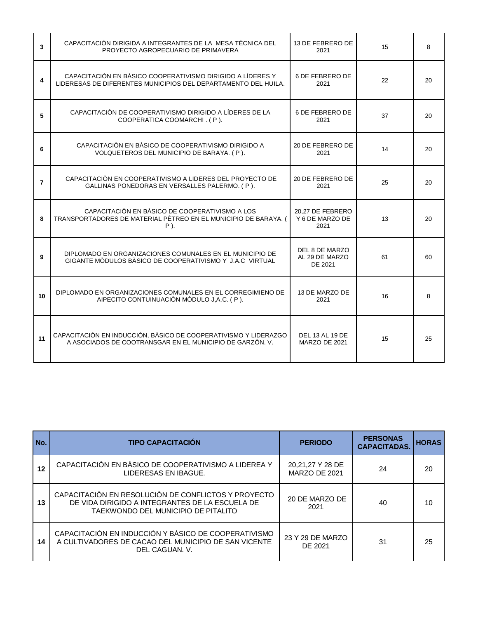| 3              | CAPACITACIÓN DIRIGIDA A INTEGRANTES DE LA MESA TÈCNICA DEL<br>PROYECTO AGROPECUARIO DE PRIMAVERA                             | 13 DE FEBRERO DE<br>2021                       | 15 | 8  |
|----------------|------------------------------------------------------------------------------------------------------------------------------|------------------------------------------------|----|----|
| 4              | CAPACITACIÓN EN BÁSICO COOPERATIVISMO DIRIGIDO A LÍDERES Y<br>LIDERESAS DE DIFERENTES MUNICIPIOS DEL DEPARTAMENTO DEL HUILA. | 6 DE FEBRERO DE<br>2021                        | 22 | 20 |
| 5              | CAPACITACIÓN DE COOPERATIVISMO DIRIGIDO A LÍDERES DE LA<br>COOPERATICA COOMARCHI. (P).                                       | 6 DE FEBRERO DE<br>2021                        | 37 | 20 |
| 6              | CAPACITACIÓN EN BÀSICO DE COOPERATIVISMO DIRIGIDO A<br>VOLQUETEROS DEL MUNICIPIO DE BARAYA. (P).                             | 20 DE FEBRERO DE<br>2021                       | 14 | 20 |
| $\overline{7}$ | CAPACITACIÓN EN COOPERATIVISMO A LIDERES DEL PROYECTO DE<br>GALLINAS PONEDORAS EN VERSALLES PALERMO. (P).                    | 20 DE FEBRERO DE<br>2021                       | 25 | 20 |
| R              | CAPACITACIÓN EN BÀSICO DE COOPERATIVISMO A LOS<br>TRANSPORTADORES DE MATERIAL PÈTREO EN EL MUNICIPIO DE BARAYA. (<br>P).     | 20,27 DE FEBRERO<br>Y 6 DE MARZO DE<br>2021    | 13 | 20 |
| 9              | DIPLOMADO EN ORGANIZACIONES COMUNALES EN EL MUNICIPIO DE<br>GIGANTE MÒDULOS BÀSICO DE COOPERATIVISMO Y J.A.C VIRTUAL         | DEL 8 DE MARZO<br>AL 29 DE MARZO<br>DE 2021    | 61 | 60 |
| 10             | DIPLOMADO EN ORGANIZACIONES COMUNALES EN EL CORREGIMIENO DE<br>AIPECITO CONTUINUACIÓN MÒDULO J,A,C. (P).                     | 13 DE MARZO DE<br>2021                         | 16 | 8  |
| 11             | CAPACITACIÓN EN INDUCCIÓN, BÀSICO DE COOPERATIVISMO Y LIDERAZGO<br>A ASOCIADOS DE COOTRANSGAR EN EL MUNICIPIO DE GARZÒN. V.  | <b>DEL 13 AL 19 DE</b><br><b>MARZO DE 2021</b> | 15 | 25 |

| No. | <b>TIPO CAPACITACIÓN</b>                                                                                                                      | <b>PERIODO</b>                    | <b>PERSONAS</b><br><b>CAPACITADAS</b> | <b>HORAS</b> |
|-----|-----------------------------------------------------------------------------------------------------------------------------------------------|-----------------------------------|---------------------------------------|--------------|
| 12  | CAPACITACIÓN EN BÀSICO DE COOPERATIVISMO A LIDEREA Y<br>LIDERESAS EN IBAGUE.                                                                  | 20,21,27 Y 28 DE<br>MARZO DE 2021 | 24                                    | 20           |
| 13  | CAPACITACIÓN EN RESOLUCIÓN DE CONFLICTOS Y PROYECTO<br>DE VIDA DIRIGIDO A INTEGRANTES DE LA ESCUELA DE<br>TAEKWONDO DEL MUNICIPIO DE PITALITO | 20 DE MARZO DE<br>2021            | 40                                    | 10           |
| 14  | CAPACITACIÓN EN INDUCCIÓN Y BÀSICO DE COOPERATIVISMO<br>A CULTIVADORES DE CACAO DEL MUNICIPIO DE SAN VICENTE<br>DEL CAGUAN, V.                | 23 Y 29 DE MARZO<br>DE 2021       | 31                                    | 25           |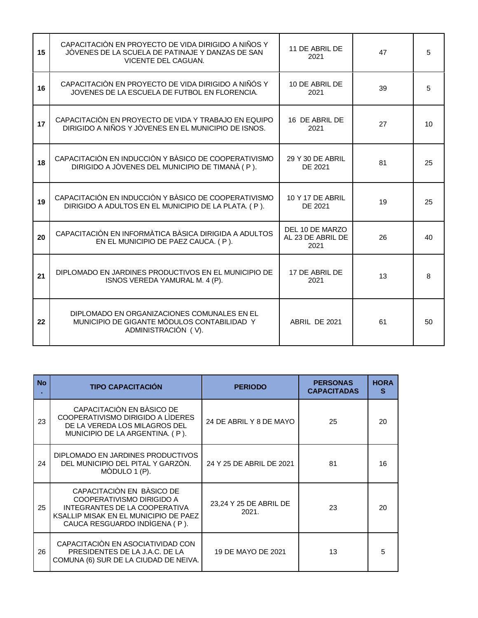| 15 | CAPACITACIÓN EN PROYECTO DE VIDA DIRIGIDO A NIÑOS Y<br>JÒVENES DE LA SCUELA DE PATINAJE Y DANZAS DE SAN<br>VICENTE DEL CAGUAN. | 11 DE ABRIL DE<br>2021                       | 47 | 5            |
|----|--------------------------------------------------------------------------------------------------------------------------------|----------------------------------------------|----|--------------|
| 16 | CAPACITACIÓN EN PROYECTO DE VIDA DIRIGIDO A NIÑÓS Y<br>JOVENES DE LA ESCUELA DE FUTBOL EN FLORENCIA.                           | 10 DE ABRIL DE<br>2021                       | 39 | 5            |
| 17 | CAPACITACIÓN EN PROYECTO DE VIDA Y TRABAJO EN EQUIPO<br>DIRIGIDO A NIÑOS Y JÒVENES EN EL MUNICIPIO DE ISNOS.                   | 16 DE ABRIL DE<br>2021                       | 27 | 10           |
| 18 | CAPACITACIÓN EN INDUCCIÓN Y BÀSICO DE COOPERATIVISMO<br>DIRIGIDO A JÒVENES DEL MUNICIPIO DE TIMANÀ (P).                        | 29 Y 30 DE ABRIL<br>DE 2021                  | 81 | 25           |
| 19 | CAPACITACIÓN EN INDUCCIÓN Y BÀSICO DE COOPERATIVISMO<br>DIRIGIDO A ADULTOS EN EL MUNICIPIO DE LA PLATA. (P).                   | 10 Y 17 DE ABRIL<br>DE 2021                  | 19 | 25           |
| 20 | CAPACITACIÓN EN INFORMÀTICA BÀSICA DIRIGIDA A ADULTOS<br>EN EL MUNICIPIO DE PAEZ CAUCA. (P).                                   | DEL 10 DE MARZO<br>AL 23 DE ABRIL DE<br>2021 | 26 | 40           |
| 21 | DIPLOMADO EN JARDINES PRODUCTIVOS EN EL MUNICIPIO DE<br>ISNOS VEREDA YAMURAL M. 4 (P).                                         | 17 DE ABRIL DE<br>2021                       | 13 | 8            |
| 22 | DIPLOMADO EN ORGANIZACIONES COMUNALES EN EL<br>MUNICIPIO DE GIGANTE MÒDULOS CONTABILIDAD Y<br>ADMINISTRACIÓN (V).              | ABRIL DE 2021                                | 61 | $50^{\circ}$ |

| <b>No</b> | <b>TIPO CAPACITACIÓN</b>                                                                                                                                          | <b>PERIODO</b>                  | <b>PERSONAS</b><br><b>CAPACITADAS</b> | <b>HORA</b><br>S |
|-----------|-------------------------------------------------------------------------------------------------------------------------------------------------------------------|---------------------------------|---------------------------------------|------------------|
| 23        | CAPACITACIÓN EN BÀSICO DE<br>COOPERATIVISMO DIRIGIDO A LÍDERES<br>DE LA VEREDA LOS MILAGROS DEL<br>MUNICIPIO DE LA ARGENTINA. (P).                                | 24 DE ABRIL Y 8 DE MAYO         | 25                                    | 20               |
| 24        | DIPLOMADO EN JARDINES PRODUCTIVOS<br>DEL MUNICIPIO DEL PITAL Y GARZÒN.<br>MÒDULO 1 (P).                                                                           | 24 Y 25 DE ABRIL DE 2021        | 81                                    | 16               |
| 25        | CAPACITACIÓN EN BÀSICO DE<br>COOPERATIVISMO DIRIGIDO A<br>INTEGRANTES DE LA COOPERATIVA<br>KSALLIP MISAK EN EL MUNICIPIO DE PAEZ<br>CAUCA RESGUARDO INDIGENA (P). | 23,24 Y 25 DE ABRIL DE<br>2021. | 23                                    | 20               |
| 26        | CAPACITACIÓN EN ASOCIATIVIDAD CON<br>PRESIDENTES DE LA J.A.C. DE LA<br>COMUNA (6) SUR DE LA CIUDAD DE NEIVA.                                                      | 19 DE MAYO DE 2021              | 13                                    | 5                |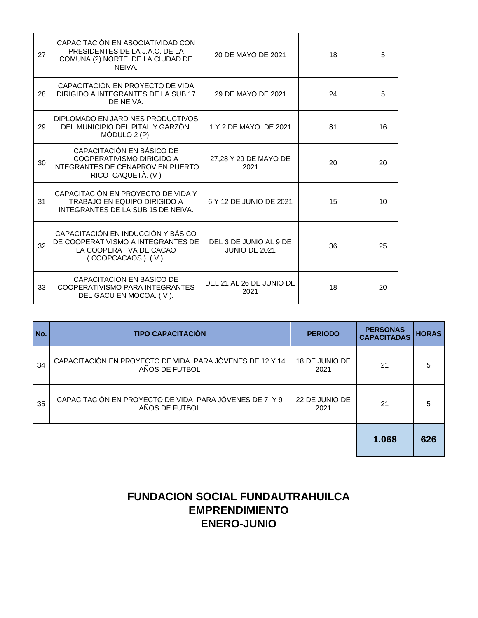| 27 | CAPACITACIÓN EN ASOCIATIVIDAD CON<br>PRESIDENTES DE LA J.A.C. DE LA<br>COMUNA (2) NORTE DE LA CIUDAD DE<br>NEIVA.         | 20 DE MAYO DE 2021                      | 18 | 5  |
|----|---------------------------------------------------------------------------------------------------------------------------|-----------------------------------------|----|----|
| 28 | CAPACITACIÓN EN PROYECTO DE VIDA<br>DIRIGIDO A INTEGRANTES DE LA SUB 17<br>DE NEIVA.                                      | 29 DE MAYO DE 2021                      | 24 | 5  |
| 29 | DIPLOMADO EN JARDINES PRODUCTIVOS<br>DEL MUNICIPIO DEL PITAL Y GARZÒN.<br>MÒDULO 2 (P).                                   | 1 Y 2 DE MAYO DE 2021                   | 81 | 16 |
| 30 | CAPACITACIÓN EN BÀSICO DE<br>COOPERATIVISMO DIRIGIDO A<br>INTEGRANTES DE CENAPROV EN PUERTO<br>RICO CAQUETÀ. (V)          | 27,28 Y 29 DE MAYO DE<br>2021           | 20 | 20 |
| 31 | CAPACITACIÓN EN PROYECTO DE VIDA Y<br><b>TRABAJO EN EQUIPO DIRIGIDO A</b><br>INTEGRANTES DE LA SUB 15 DE NEIVA.           | 6 Y 12 DE JUNIO DE 2021                 | 15 | 10 |
| 32 | CAPACITACIÓN EN INDUCCIÓN Y BÀSICO<br>DE COOPERATIVISMO A INTEGRANTES DE<br>LA COOPERATIVA DE CACAO<br>(COOPCACAOS). (V). | DEL 3 DE JUNIO AL 9 DE<br>JUNIO DE 2021 | 36 | 25 |
| 33 | CAPACITACIÓN EN BÀSICO DE<br>COOPERATIVISMO PARA INTEGRANTES<br>DEL GACU EN MOCOA. (V).                                   | DEL 21 AL 26 DE JUNIO DE<br>2021        | 18 | 20 |

| No. | <b>TIPO CAPACITACIÓN</b>                                                   | <b>PERIODO</b>         | <b>PERSONAS</b><br><b>CAPACITADAS</b> | <b>HORAS</b> |
|-----|----------------------------------------------------------------------------|------------------------|---------------------------------------|--------------|
| 34  | CAPACITACIÓN EN PROYECTO DE VIDA PARA JÒVENES DE 12 Y 14<br>AÑOS DE FUTBOL | 18 DE JUNIO DE<br>2021 | 21                                    | 5            |
| 35  | CAPACITACIÓN EN PROYECTO DE VIDA PARA JÒVENES DE 7 Y 9<br>AÑOS DE FUTBOL   | 22 DE JUNIO DE<br>2021 | 21                                    | 5            |
|     |                                                                            |                        | 1.068                                 | 626          |

#### **FUNDACION SOCIAL FUNDAUTRAHUILCA EMPRENDIMIENTO ENERO-JUNIO**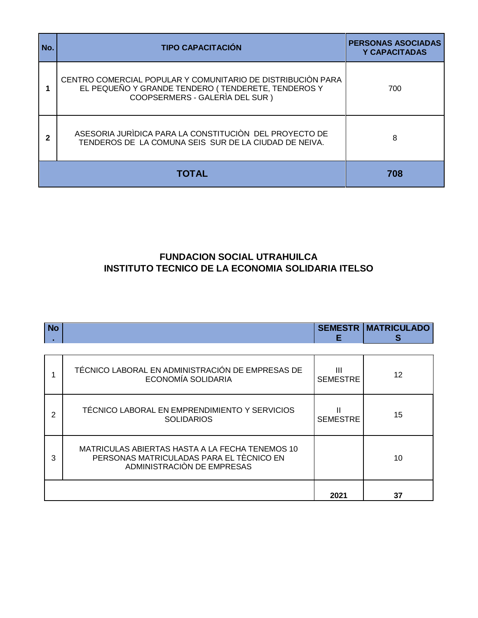| No. | <b>TIPO CAPACITACIÓN</b>                                                                                                                            | <b>PERSONAS ASOCIADAS</b><br><b>Y CAPACITADAS</b> |
|-----|-----------------------------------------------------------------------------------------------------------------------------------------------------|---------------------------------------------------|
|     | CENTRO COMERCIAL POPULAR Y COMUNITARIO DE DISTRIBUCIÓN PARA<br>EL PEQUEÑO Y GRANDE TENDERO (TENDERETE, TENDEROS Y<br>COOPSERMERS - GALERIA DEL SUR) | 700                                               |
| 2   | ASESORIA JURÍDICA PARA LA CONSTITUCIÓN DEL PROYECTO DE<br>TENDEROS DE LA COMUNA SEIS SUR DE LA CIUDAD DE NEIVA.                                     | 8                                                 |
|     | TOTAL                                                                                                                                               | 708                                               |

#### **FUNDACION SOCIAL UTRAHUILCA INSTITUTO TECNICO DE LA ECONOMIA SOLIDARIA ITELSO**

| <b>No</b> |                                                                                                                           | <b>SEMESTR</b><br>Е  | <b>MATRICULADO</b><br>s |
|-----------|---------------------------------------------------------------------------------------------------------------------------|----------------------|-------------------------|
|           | TÉCNICO LABORAL EN ADMINISTRACIÓN DE EMPRESAS DE<br><b>ECONOMÍA SOLIDARIA</b>                                             | Ш<br><b>SEMESTRE</b> | 12                      |
| 2         | TÉCNICO LABORAL EN EMPRENDIMIENTO Y SERVICIOS<br><b>SOLIDARIOS</b>                                                        | <b>SEMESTRE</b>      | 15                      |
| 3         | MATRICULAS ABIERTAS HASTA A LA FECHA TENEMOS 10<br>PERSONAS MATRICULADAS PARA EL TÈCNICO EN<br>ADMINISTRACIÓN DE EMPRESAS |                      | 10                      |
|           |                                                                                                                           | 2021                 | 37                      |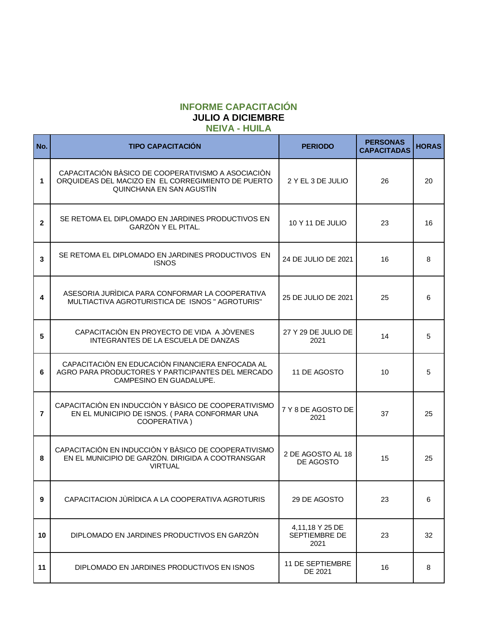#### **INFORME CAPACITACIÓN JULIO A DICIEMBRE NEIVA - HUILA**

| No.            | <b>TIPO CAPACITACIÓN</b>                                                                                                             | <b>PERIODO</b>                           | <b>PERSONAS</b><br><b>CAPACITADAS</b> | <b>HORAS</b> |
|----------------|--------------------------------------------------------------------------------------------------------------------------------------|------------------------------------------|---------------------------------------|--------------|
| 1              | CAPACITACIÓN BÀSICO DE COOPERATIVISMO A ASOCIACIÓN<br>ORQUIDEAS DEL MACIZO EN EL CORREGIMIENTO DE PUERTO<br>QUINCHANA EN SAN AGUSTIN | 2 Y EL 3 DE JULIO                        | 26                                    | 20           |
| $\overline{2}$ | SE RETOMA EL DIPLOMADO EN JARDINES PRODUCTIVOS EN<br>GARZÓN Y EL PITAL.                                                              | 10 Y 11 DE JULIO                         | 23                                    | 16           |
| 3              | SE RETOMA EL DIPLOMADO EN JARDINES PRODUCTIVOS EN<br><b>ISNOS</b>                                                                    | 24 DE JULIO DE 2021                      | 16                                    | 8            |
| 4              | ASESORIA JURÌDICA PARA CONFORMAR LA COOPERATIVA<br>MULTIACTIVA AGROTURISTICA DE ISNOS "AGROTURIS"                                    | 25 DE JULIO DE 2021                      | 25                                    | 6            |
| 5              | CAPACITACIÓN EN PROYECTO DE VIDA A JÒVENES<br>INTEGRANTES DE LA ESCUELA DE DANZAS                                                    | 27 Y 29 DE JULIO DE<br>2021              | 14                                    | 5            |
| 6              | CAPACITACIÓN EN EDUCACIÓN FINANCIERA ENFOCADA AL<br>AGRO PARA PRODUCTORES Y PARTICIPANTES DEL MERCADO<br>CAMPESINO EN GUADALUPE.     | 11 DE AGOSTO                             | 10                                    | 5            |
| $\overline{7}$ | CAPACITACIÓN EN INDUCCIÓN Y BÀSICO DE COOPERATIVISMO<br>EN EL MUNICIPIO DE ISNOS. (PARA CONFORMAR UNA<br>COOPERATIVA)                | 7 Y 8 DE AGOSTO DE<br>2021               | 37                                    | 25           |
| 8              | CAPACITACIÓN EN INDUCCIÓN Y BÀSICO DE COOPERATIVISMO<br>EN EL MUNICIPIO DE GARZÒN. DIRIGIDA A COOTRANSGAR<br><b>VIRTUAL</b>          | 2 DE AGOSTO AL 18<br>DE AGOSTO           | 15                                    | 25           |
| 9              | CAPACITACION JÙRÌDICA A LA COOPERATIVA AGROTURIS                                                                                     | 29 DE AGOSTO                             | 23                                    | 6            |
| 10             | DIPLOMADO EN JARDINES PRODUCTIVOS EN GARZÓN                                                                                          | 4,11,18 Y 25 DE<br>SEPTIEMBRE DE<br>2021 | 23                                    | 32           |
| 11             | DIPLOMADO EN JARDINES PRODUCTIVOS EN ISNOS                                                                                           | 11 DE SEPTIEMBRE<br>DE 2021              | 16                                    | 8            |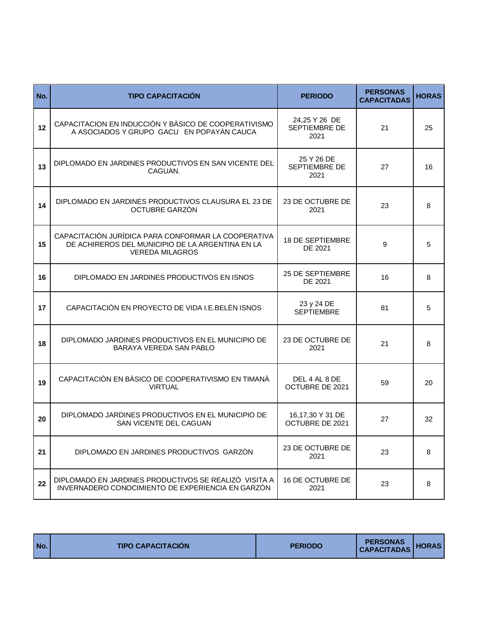| No. | <b>TIPO CAPACITACIÓN</b>                                                                                                          | <b>PERIODO</b>                         | <b>PERSONAS</b><br><b>CAPACITADAS</b> | <b>HORAS</b> |
|-----|-----------------------------------------------------------------------------------------------------------------------------------|----------------------------------------|---------------------------------------|--------------|
| 12  | CAPACITACION EN INDUCCIÓN Y BÀSICO DE COOPERATIVISMO<br>A ASOCIADOS Y GRUPO GACU EN POPAYÀN CAUCA                                 | 24,25 Y 26 DE<br>SEPTIEMBRE DE<br>2021 | 21                                    | 25           |
| 13  | DIPLOMADO EN JARDINES PRODUCTIVOS EN SAN VICENTE DEL<br>CAGUAN.                                                                   | 25 Y 26 DE<br>SEPTIEMBRE DE<br>2021    | 27                                    | 16           |
| 14  | DIPLOMADO EN JARDINES PRODUCTIVOS CLAUSURA EL 23 DE<br>OCTUBRE GARZÒN                                                             | 23 DE OCTUBRE DE<br>2021               | 23                                    | 8            |
| 15  | CAPACITACIÓN JURÍDICA PARA CONFORMAR LA COOPERATIVA<br>DE ACHIREROS DEL MUNICIPIO DE LA ARGENTINA EN LA<br><b>VEREDA MILAGROS</b> | <b>18 DE SEPTIEMBRE</b><br>DE 2021     | 9                                     | 5            |
| 16  | DIPLOMADO EN JARDINES PRODUCTIVOS EN ISNOS                                                                                        | 25 DE SEPTIEMBRE<br>DE 2021            | 16                                    | 8            |
| 17  | CAPACITACIÓN EN PROYECTO DE VIDA I.E.BELEN ISNOS                                                                                  | 23 y 24 DE<br><b>SEPTIEMBRE</b>        | 81                                    | 5            |
| 18  | DIPLOMADO JARDINES PRODUCTIVOS EN EL MUNICIPIO DE<br><b>BARAYA VEREDA SAN PABLO</b>                                               | 23 DE OCTUBRE DE<br>2021               | 21                                    | 8            |
| 19  | CAPACITACIÓN EN BÀSICO DE COOPERATIVISMO EN TIMANÀ<br><b>VIRTUAL</b>                                                              | DEL 4 AL 8 DE<br>OCTUBRE DE 2021       | 59                                    | 20           |
| 20  | DIPLOMADO JARDINES PRODUCTIVOS EN EL MUNICIPIO DE<br>SAN VICENTE DEL CAGUAN                                                       | 16,17,30 Y 31 DE<br>OCTUBRE DE 2021    | 27                                    | 32           |
| 21  | DIPLOMADO EN JARDINES PRODUCTIVOS GARZÓN                                                                                          | 23 DE OCTUBRE DE<br>2021               | 23                                    | 8            |
| 22  | DIPLOMADO EN JARDINES PRODUCTIVOS SE REALIZO VISITA A<br>INVERNADERO CONOCIMIENTO DE EXPERIENCIA EN GARZÓN                        | 16 DE OCTUBRE DE<br>2021               | 23                                    | 8            |

|--|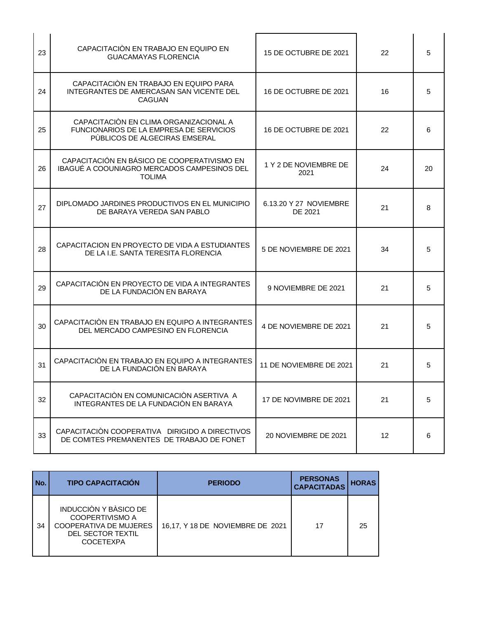| 23 | CAPACITACIÓN EN TRABAJO EN EQUIPO EN<br><b>GUACAMAYAS FLORENCIA</b>                                                | 15 DE OCTUBRE DE 2021             | 22 | 5  |
|----|--------------------------------------------------------------------------------------------------------------------|-----------------------------------|----|----|
| 24 | CAPACITACIÓN EN TRABAJO EN EQUIPO PARA<br>INTEGRANTES DE AMERCASAN SAN VICENTE DEL<br><b>CAGUAN</b>                | 16 DE OCTUBRE DE 2021             | 16 | 5  |
| 25 | CAPACITACIÓN EN CLIMA ORGANIZACIONAL A<br>FUNCIONARIOS DE LA EMPRESA DE SERVICIOS<br>PÙBLICOS DE ALGECIRAS EMSERAL | 16 DE OCTUBRE DE 2021             | 22 | 6  |
| 26 | CAPACITACIÓN EN BÁSICO DE COOPERATIVISMO EN<br>IBAGUÉ A COOUNIAGRO MERCADOS CAMPESINOS DEL<br><b>TOLIMA</b>        | 1 Y 2 DE NOVIEMBRE DE<br>2021     | 24 | 20 |
| 27 | DIPLOMADO JARDINES PRODUCTIVOS EN EL MUNICIPIO<br>DE BARAYA VEREDA SAN PABLO                                       | 6.13.20 Y 27 NOVIEMBRE<br>DE 2021 | 21 | 8  |
| 28 | CAPACITACION EN PROYECTO DE VIDA A ESTUDIANTES<br>DE LA I.E. SANTA TERESITA FLORENCIA                              | 5 DE NOVIEMBRE DE 2021            | 34 | 5  |
| 29 | CAPACITACIÓN EN PROYECTO DE VIDA A INTEGRANTES<br>DE LA FUNDACIÓN EN BARAYA                                        | 9 NOVIEMBRE DE 2021               | 21 | 5  |
| 30 | CAPACITACIÓN EN TRABAJO EN EQUIPO A INTEGRANTES<br>DEL MERCADO CAMPESINO EN FLORENCIA                              | 4 DE NOVIEMBRE DE 2021            | 21 | 5  |
| 31 | CAPACITACIÓN EN TRABAJO EN EQUIPO A INTEGRANTES<br>DE LA FUNDACIÓN EN BARAYA                                       | 11 DE NOVIEMBRE DE 2021           | 21 | 5  |
| 32 | CAPACITACIÓN EN COMUNICACIÓN ASERTIVA A<br>INTEGRANTES DE LA FUNDACIÓN EN BARAYA                                   | 17 DE NOVIMBRE DE 2021            | 21 | 5  |
| 33 | CAPACITACIÓN COOPERATIVA DIRIGIDO A DIRECTIVOS<br>DE COMITES PREMANENTES DE TRABAJO DE FONET                       | 20 NOVIEMBRE DE 2021              | 12 | 6  |

| I No. | <b>TIPO CAPACITACIÓN</b>                                                                                           | <b>PERIODO</b>                   | <b>PERSONAS</b><br><b>CAPACITADAS</b> | <b>HORAS</b> |
|-------|--------------------------------------------------------------------------------------------------------------------|----------------------------------|---------------------------------------|--------------|
| 34    | INDUCCIÓN Y BÀSICO DE<br>COOPERTIVISMO A<br><b>COOPERATIVA DE MUJERES</b><br>DEL SECTOR TEXTIL<br><b>COCETEXPA</b> | 16,17, Y 18 DE NOVIEMBRE DE 2021 | 17                                    | 25           |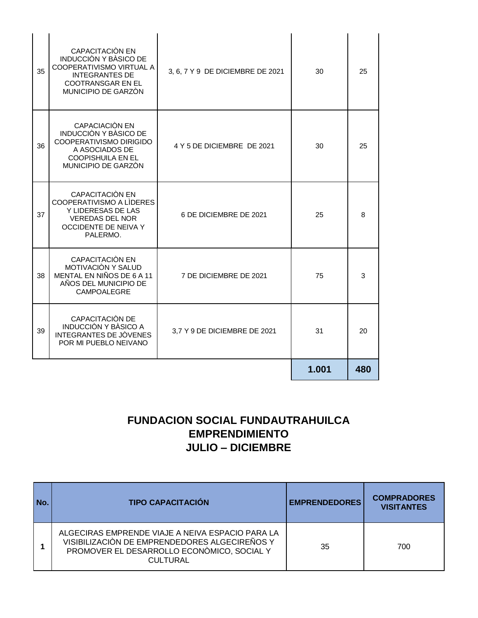| 35 | CAPACITACIÓN EN<br><b>INDUCCIÒN Y BÀSICO DE</b><br>COOPERATIVISMO VIRTUAL A<br><b>INTEGRANTES DE</b><br><b>COOTRANSGAR EN EL</b><br>MUNICIPIO DE GARZÒN | 3, 6, 7 Y 9 DE DICIEMBRE DE 2021 | 30    | 25  |
|----|---------------------------------------------------------------------------------------------------------------------------------------------------------|----------------------------------|-------|-----|
| 36 | CAPACIACIÓN EN<br><b>INDUCCIÒN Y BÀSICO DE</b><br>COOPERATIVISMO DIRIGIDO<br>A ASOCIADOS DE<br><b>COOPISHUILA EN EL</b><br>MUNICIPIO DE GARZÒN          | 4 Y 5 DE DICIEMBRE DE 2021       | 30    | 25  |
| 37 | CAPACITACIÓN EN<br>COOPERATIVISMO A LIDERES<br>Y LIDERESAS DE LAS<br><b>VEREDAS DEL NOR</b><br>OCCIDENTE DE NEIVA Y<br>PALERMO.                         | 6 DE DICIEMBRE DE 2021           | 25    | 8   |
| 38 | CAPACITACIÓN EN<br>MOTIVACIÒN Y SALUD<br>MENTAL EN NIÑOS DE 6 A 11<br>AÑOS DEL MUNICIPIO DE<br>CAMPOALEGRE                                              | 7 DE DICIEMBRE DE 2021           | 75    | 3   |
| 39 | CAPACITACIÓN DE<br><b>INDUCCIÒN Y BÀSICO A</b><br>INTEGRANTES DE JÒVENES<br>POR MI PUEBLO NEIVANO                                                       | 3,7 Y 9 DE DICIEMBRE DE 2021     | 31    | 20  |
|    |                                                                                                                                                         |                                  | 1.001 | 480 |

#### **FUNDACION SOCIAL FUNDAUTRAHUILCA EMPRENDIMIENTO JULIO – DICIEMBRE**

| l No. | <b>TIPO CAPACITACIÓN</b>                                                                                                                                           | <b>EMPRENDEDORES</b> | <b>COMPRADORES</b><br><b>VISITANTES</b> |
|-------|--------------------------------------------------------------------------------------------------------------------------------------------------------------------|----------------------|-----------------------------------------|
|       | ALGECIRAS EMPRENDE VIAJE A NEIVA ESPACIO PARA LA<br>VISIBILIZACIÓN DE EMPRENDEDORES ALGECIREÑOS Y<br>PROMOVER EL DESARROLLO ECONÒMICO, SOCIAL Y<br><b>CULTURAL</b> | 35                   | 700                                     |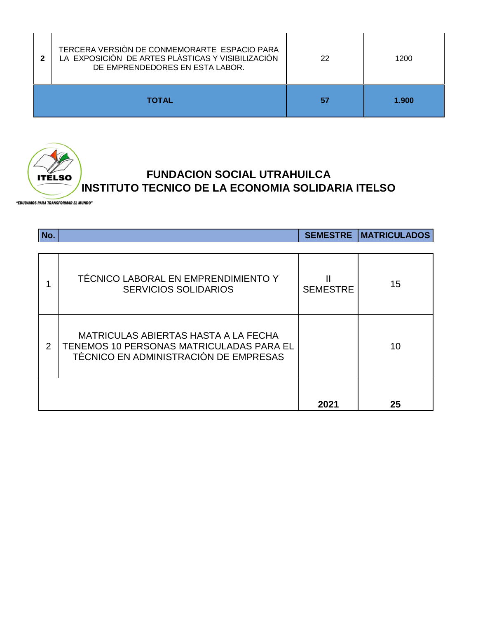|              | TERCERA VERSIÓN DE CONMEMORARTE ESPACIO PARA<br>LA EXPOSICIÓN DE ARTES PLÀSTICAS Y VISIBILIZACIÓN<br>DE EMPRENDEDORES EN ESTA LABOR. | 22 | 1200  |
|--------------|--------------------------------------------------------------------------------------------------------------------------------------|----|-------|
| <b>TOTAL</b> |                                                                                                                                      |    | 1.900 |



#### **FUNDACION SOCIAL UTRAHUILCA INSTITUTO TECNICO DE LA ECONOMIA SOLIDARIA ITELSO**

"EDUCAMOS PARA TRANSFORMAR EL MUNDO"

| No. |                                                                                                                           |                 | <b>SEMESTRE   MATRICULADOS</b> |
|-----|---------------------------------------------------------------------------------------------------------------------------|-----------------|--------------------------------|
|     | TÉCNICO LABORAL EN EMPRENDIMIENTO Y<br><b>SERVICIOS SOLIDARIOS</b>                                                        | <b>SEMESTRE</b> | 15                             |
| 2   | MATRICULAS ABIERTAS HASTA A LA FECHA<br>TENEMOS 10 PERSONAS MATRICULADAS PARA EL<br>TÈCNICO EN ADMINISTRACIÓN DE EMPRESAS |                 | 10                             |
|     |                                                                                                                           | 2021            | 25                             |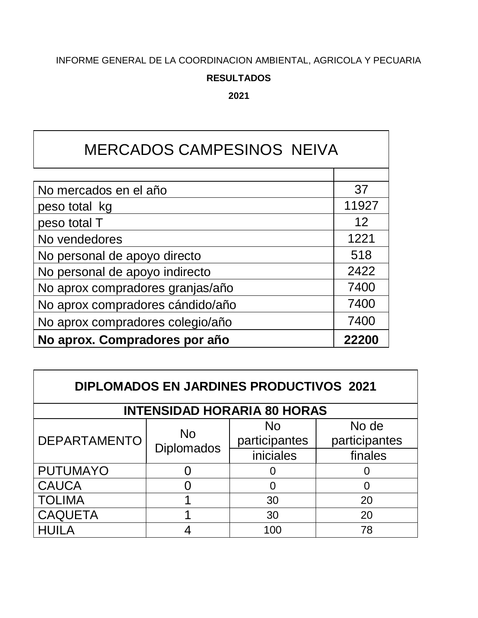#### INFORME GENERAL DE LA COORDINACION AMBIENTAL, AGRICOLA Y PECUARIA

#### **RESULTADOS**

**2021**

### MERCADOS CAMPESINOS NEIVA

| No mercados en el año            | 37    |
|----------------------------------|-------|
| peso total kg                    | 11927 |
| peso total T                     | 12    |
| No vendedores                    | 1221  |
| No personal de apoyo directo     | 518   |
| No personal de apoyo indirecto   | 2422  |
| No aprox compradores granjas/año | 7400  |
| No aprox compradores cándido/año | 7400  |
| No aprox compradores colegio/año | 7400  |
| No aprox. Compradores por año    | 2220  |

| <b>DIPLOMADOS EN JARDINES PRODUCTIVOS 2021</b> |                                |                                    |               |  |  |
|------------------------------------------------|--------------------------------|------------------------------------|---------------|--|--|
|                                                |                                | <b>INTENSIDAD HORARIA 80 HORAS</b> |               |  |  |
|                                                | <b>No</b><br><b>Diplomados</b> | N <sub>o</sub>                     | No de         |  |  |
| <b>DEPARTAMENTO</b>                            |                                | participantes                      | participantes |  |  |
|                                                |                                | iniciales                          | finales       |  |  |
| <b>PUTUMAYO</b>                                |                                |                                    |               |  |  |
| <b>CAUCA</b>                                   |                                | O                                  |               |  |  |
| <b>TOLIMA</b>                                  |                                | 30                                 | 20            |  |  |
| <b>CAQUETA</b>                                 |                                | 30                                 | 20            |  |  |
| <b>IUILA</b>                                   |                                | 100                                | 78            |  |  |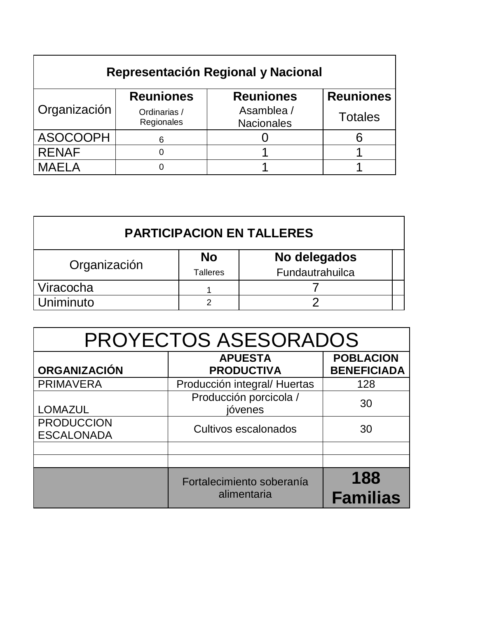| Representación Regional y Nacional |                            |                                 |                  |  |  |
|------------------------------------|----------------------------|---------------------------------|------------------|--|--|
|                                    | <b>Reuniones</b>           | <b>Reuniones</b>                | <b>Reuniones</b> |  |  |
| Organización                       | Ordinarias /<br>Regionales | Asamblea /<br><b>Nacionales</b> | <b>Totales</b>   |  |  |
| <b>ASOCOOPH</b>                    | 6                          |                                 |                  |  |  |
| <b>RENAF</b>                       |                            |                                 |                  |  |  |
| <b>MAELA</b>                       |                            |                                 |                  |  |  |

| <b>PARTICIPACION EN TALLERES</b> |                              |                                 |  |  |
|----------------------------------|------------------------------|---------------------------------|--|--|
| Organización                     | <b>No</b><br><b>Talleres</b> | No delegados<br>Fundautrahuilca |  |  |
| Viracocha                        |                              |                                 |  |  |
| Uniminuto                        | ົ                            |                                 |  |  |

| PROYECTOS ASESORADOS                   |                                          |                                        |  |  |
|----------------------------------------|------------------------------------------|----------------------------------------|--|--|
| <b>ORGANIZACIÓN</b>                    | <b>APUESTA</b><br><b>PRODUCTIVA</b>      | <b>POBLACION</b><br><b>BENEFICIADA</b> |  |  |
| <b>PRIMAVERA</b>                       | Producción integral/ Huertas             | 128                                    |  |  |
| <b>LOMAZUL</b>                         | Producción porcicola /<br>jóvenes        | 30                                     |  |  |
| <b>PRODUCCION</b><br><b>ESCALONADA</b> | Cultivos escalonados                     | 30                                     |  |  |
|                                        |                                          |                                        |  |  |
|                                        |                                          |                                        |  |  |
|                                        | Fortalecimiento soberanía<br>alimentaria | 188<br><b>Familias</b>                 |  |  |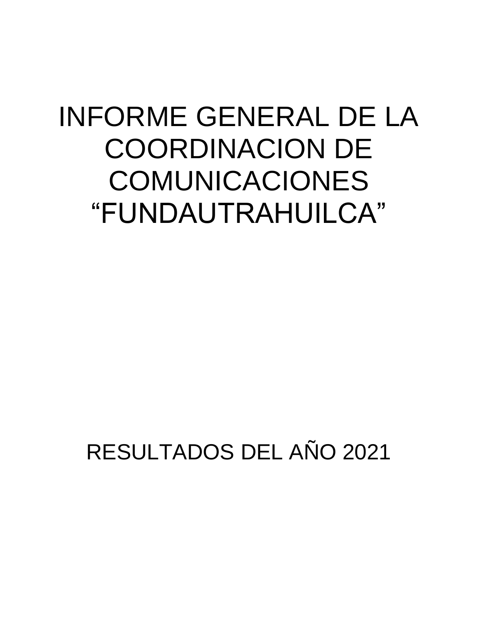# INFORME GENERAL DE LA COORDINACION DE COMUNICACIONES "FUNDAUTRAHUILCA"

## RESULTADOS DEL AÑO 2021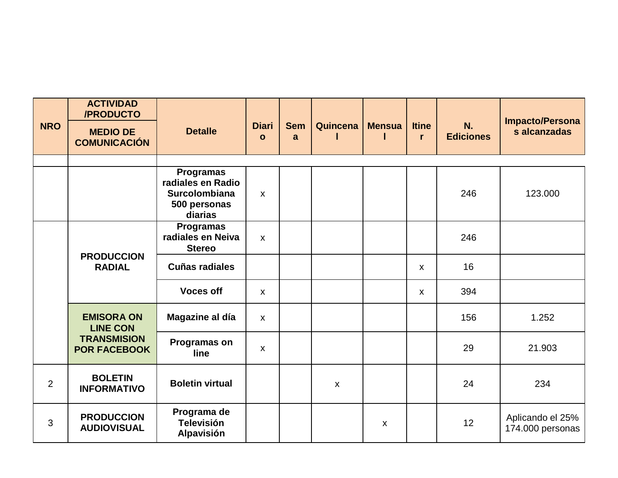|                | <b>ACTIVIDAD</b><br>/PRODUCTO             |                                                |                              |                 |                    |                           |                              |                        | <b>Impacto/Persona</b>               |
|----------------|-------------------------------------------|------------------------------------------------|------------------------------|-----------------|--------------------|---------------------------|------------------------------|------------------------|--------------------------------------|
| <b>NRO</b>     | <b>MEDIO DE</b><br><b>COMUNICACIÓN</b>    | <b>Detalle</b>                                 | <b>Diari</b><br>$\mathbf{o}$ | <b>Sem</b><br>a | Quincena           | <b>Mensua</b>             | <b>Itine</b><br>$\mathbf{r}$ | N.<br><b>Ediciones</b> | s alcanzadas                         |
|                |                                           |                                                |                              |                 |                    |                           |                              |                        |                                      |
|                |                                           | <b>Programas</b><br>radiales en Radio          |                              |                 |                    |                           |                              |                        |                                      |
|                |                                           | <b>Surcolombiana</b>                           | $\mathsf{X}$                 |                 |                    |                           |                              | 246                    | 123.000                              |
|                |                                           | 500 personas<br>diarias                        |                              |                 |                    |                           |                              |                        |                                      |
|                |                                           | <b>Programas</b><br>radiales en Neiva          |                              |                 |                    |                           |                              |                        |                                      |
|                |                                           | <b>Stereo</b>                                  | $\mathsf{x}$                 |                 |                    |                           |                              | 246                    |                                      |
|                | <b>PRODUCCION</b><br><b>RADIAL</b>        | <b>Cuñas radiales</b>                          |                              |                 |                    |                           | $\boldsymbol{\mathsf{X}}$    | 16                     |                                      |
|                |                                           | <b>Voces off</b>                               | $\mathsf{X}$                 |                 |                    |                           | $\boldsymbol{\mathsf{X}}$    | 394                    |                                      |
|                | <b>EMISORA ON</b><br><b>LINE CON</b>      | Magazine al día                                | $\mathsf{X}$                 |                 |                    |                           |                              | 156                    | 1.252                                |
|                | <b>TRANSMISION</b><br><b>POR FACEBOOK</b> | Programas on<br>line                           | $\mathsf{x}$                 |                 |                    |                           |                              | 29                     | 21.903                               |
| $\overline{2}$ | <b>BOLETIN</b><br><b>INFORMATIVO</b>      | <b>Boletin virtual</b>                         |                              |                 | $\pmb{\mathsf{X}}$ |                           |                              | 24                     | 234                                  |
| 3              | <b>PRODUCCION</b><br><b>AUDIOVISUAL</b>   | Programa de<br><b>Televisión</b><br>Alpavisión |                              |                 |                    | $\boldsymbol{\mathsf{X}}$ |                              | 12 <sup>°</sup>        | Aplicando el 25%<br>174.000 personas |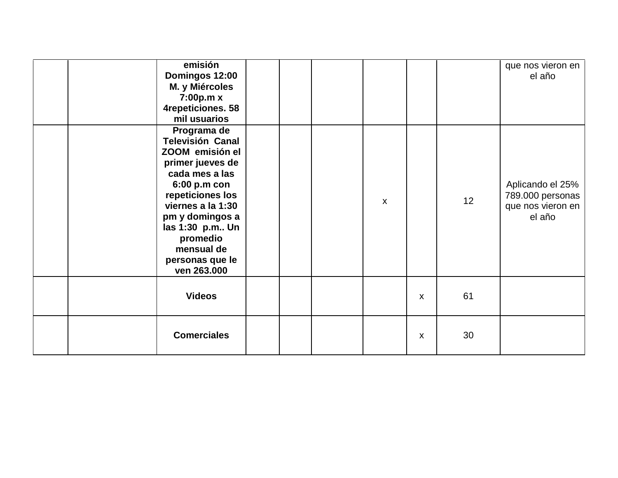|  | emisión<br>Domingos 12:00<br>M. y Miércoles<br>7:00p.m x<br>4repeticiones. 58<br>mil usuarios                                                                                                                                                              |  |              |                           |    | que nos vieron en<br>el año                                         |
|--|------------------------------------------------------------------------------------------------------------------------------------------------------------------------------------------------------------------------------------------------------------|--|--------------|---------------------------|----|---------------------------------------------------------------------|
|  | Programa de<br><b>Televisión Canal</b><br>ZOOM emisión el<br>primer jueves de<br>cada mes a las<br>6:00 p.m con<br>repeticiones los<br>viernes a la 1:30<br>pm y domingos a<br>las 1:30 p.m Un<br>promedio<br>mensual de<br>personas que le<br>ven 263.000 |  | $\mathsf{x}$ |                           | 12 | Aplicando el 25%<br>789.000 personas<br>que nos vieron en<br>el año |
|  | <b>Videos</b>                                                                                                                                                                                                                                              |  |              | $\boldsymbol{\mathsf{X}}$ | 61 |                                                                     |
|  | <b>Comerciales</b>                                                                                                                                                                                                                                         |  |              | X                         | 30 |                                                                     |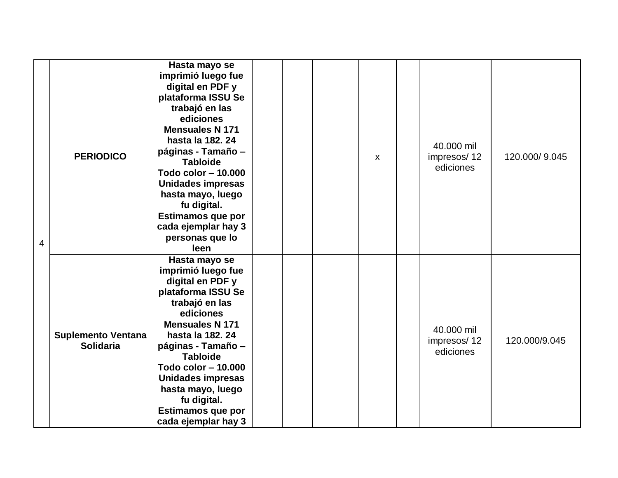| 4 | <b>PERIODICO</b>                              | Hasta mayo se<br>imprimió luego fue<br>digital en PDF y<br>plataforma ISSU Se<br>trabajó en las<br>ediciones<br><b>Mensuales N 171</b><br>hasta la 182, 24<br>páginas - Tamaño -<br><b>Tabloide</b><br>Todo color - 10.000<br><b>Unidades impresas</b><br>hasta mayo, luego<br>fu digital.<br>Estimamos que por<br>cada ejemplar hay 3<br>personas que lo<br>leen |  | X | 40.000 mil<br>impresos/12<br>ediciones | 120.000/9.045 |
|---|-----------------------------------------------|-------------------------------------------------------------------------------------------------------------------------------------------------------------------------------------------------------------------------------------------------------------------------------------------------------------------------------------------------------------------|--|---|----------------------------------------|---------------|
|   | <b>Suplemento Ventana</b><br><b>Solidaria</b> | Hasta mayo se<br>imprimió luego fue<br>digital en PDF y<br>plataforma ISSU Se<br>trabajó en las<br>ediciones<br><b>Mensuales N 171</b><br>hasta la 182. 24<br>páginas - Tamaño -<br><b>Tabloide</b><br>Todo color - 10.000<br>Unidades impresas<br>hasta mayo, luego<br>fu digital.<br><b>Estimamos que por</b><br>cada ejemplar hay 3                            |  |   | 40.000 mil<br>impresos/12<br>ediciones | 120.000/9.045 |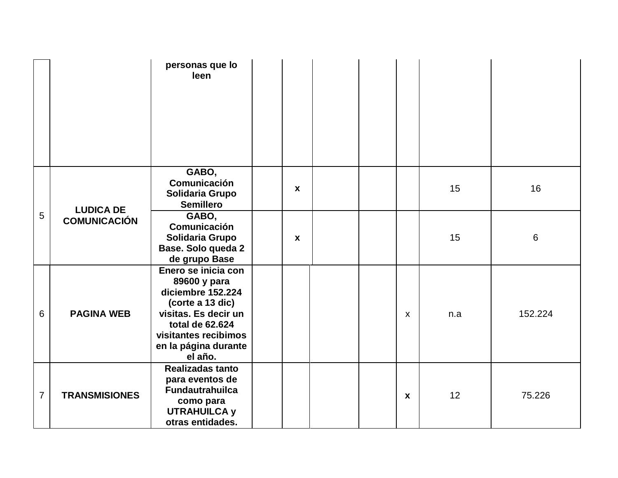|                |                      | personas que lo<br>leen                                                                                                                                                            |                  |  |                  |     |         |
|----------------|----------------------|------------------------------------------------------------------------------------------------------------------------------------------------------------------------------------|------------------|--|------------------|-----|---------|
|                | <b>LUDICA DE</b>     | GABO,<br>Comunicación<br>Solidaria Grupo<br><b>Semillero</b>                                                                                                                       | $\mathbf{x}$     |  |                  | 15  | 16      |
| 5              | <b>COMUNICACIÓN</b>  | GABO,<br>Comunicación<br>Solidaria Grupo<br>Base. Solo queda 2<br>de grupo Base                                                                                                    | $\boldsymbol{x}$ |  |                  | 15  | 6       |
| 6              | <b>PAGINA WEB</b>    | Enero se inicia con<br>89600 y para<br>diciembre 152.224<br>(corte a 13 dic)<br>visitas. Es decir un<br>total de 62.624<br>visitantes recibimos<br>en la página durante<br>el año. |                  |  | $\mathsf{X}$     | n.a | 152.224 |
| $\overline{7}$ | <b>TRANSMISIONES</b> | <b>Realizadas tanto</b><br>para eventos de<br><b>Fundautrahuilca</b><br>como para<br><b>UTRAHUILCA y</b><br>otras entidades.                                                       |                  |  | $\boldsymbol{x}$ | 12  | 75.226  |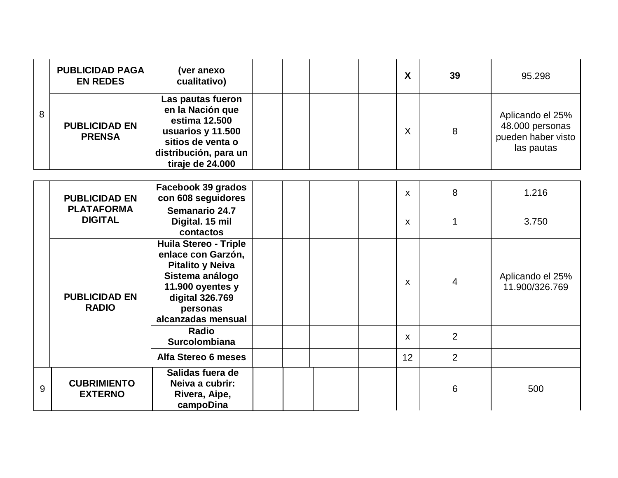|   | <b>PUBLICIDAD PAGA</b><br><b>EN REDES</b> | (ver anexo<br>cualitativo)                                                                                                                                                | X            | 39             | 95.298                                                                  |
|---|-------------------------------------------|---------------------------------------------------------------------------------------------------------------------------------------------------------------------------|--------------|----------------|-------------------------------------------------------------------------|
| 8 | <b>PUBLICIDAD EN</b><br><b>PRENSA</b>     | Las pautas fueron<br>en la Nación que<br>estima 12,500<br>usuarios y 11.500<br>sitios de venta o<br>distribución, para un<br>tiraje de 24.000                             | X            | 8              | Aplicando el 25%<br>48.000 personas<br>pueden haber visto<br>las pautas |
|   | <b>PUBLICIDAD EN</b>                      | Facebook 39 grados<br>con 608 seguidores                                                                                                                                  | X            | 8              | 1.216                                                                   |
|   | <b>PLATAFORMA</b><br><b>DIGITAL</b>       | Semanario 24.7<br>Digital. 15 mil<br>contactos                                                                                                                            | $\mathsf{x}$ | 1              | 3.750                                                                   |
|   | <b>PUBLICIDAD EN</b><br><b>RADIO</b>      | <b>Huila Stereo - Triple</b><br>enlace con Garzón,<br><b>Pitalito y Neiva</b><br>Sistema análogo<br>11.900 oyentes y<br>digital 326.769<br>personas<br>alcanzadas mensual | $\mathsf{X}$ | 4              | Aplicando el 25%<br>11.900/326.769                                      |
|   |                                           | <b>Radio</b><br>Surcolombiana                                                                                                                                             | $\mathsf{X}$ | $\overline{2}$ |                                                                         |
|   |                                           | Alfa Stereo 6 meses                                                                                                                                                       | 12           | $\overline{2}$ |                                                                         |
| 9 | <b>CUBRIMIENTO</b><br><b>EXTERNO</b>      | Salidas fuera de<br>Neiva a cubrir:<br>Rivera, Aipe,<br>campoDina                                                                                                         |              | 6              | 500                                                                     |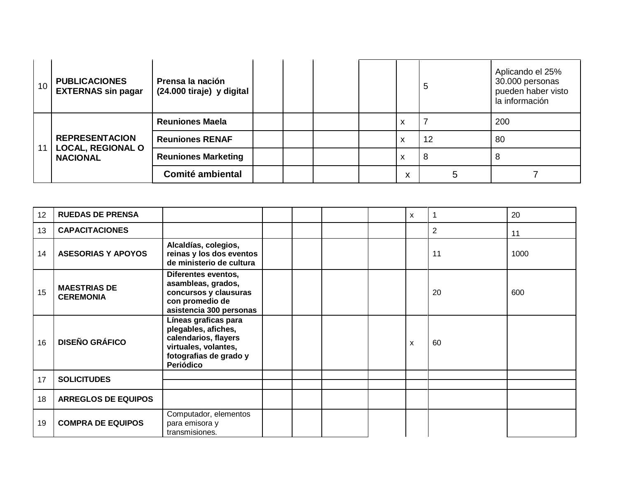| 10 <sup>°</sup> | <b>PUBLICACIONES</b><br><b>EXTERNAS sin pagar</b>                    | Prensa la nación<br>(24.000 tiraje) y digital |  |   | 5  | Aplicando el 25%<br>30.000 personas<br>pueden haber visto<br>la información |
|-----------------|----------------------------------------------------------------------|-----------------------------------------------|--|---|----|-----------------------------------------------------------------------------|
|                 | <b>REPRESENTACION</b><br><b>LOCAL, REGIONAL O</b><br><b>NACIONAL</b> | <b>Reuniones Maela</b>                        |  | x |    | 200                                                                         |
| 11              |                                                                      | <b>Reuniones RENAF</b>                        |  | x | 12 | 80                                                                          |
|                 |                                                                      | <b>Reuniones Marketing</b>                    |  | х | 8  | 8                                                                           |
|                 |                                                                      | <b>Comité ambiental</b>                       |  | X | 5  |                                                                             |

| 12 | <b>RUEDAS DE PRENSA</b>                 |                                                                                                                                    |  |  | X | 1              | 20   |
|----|-----------------------------------------|------------------------------------------------------------------------------------------------------------------------------------|--|--|---|----------------|------|
| 13 | <b>CAPACITACIONES</b>                   |                                                                                                                                    |  |  |   | $\overline{2}$ | 11   |
| 14 | <b>ASESORIAS Y APOYOS</b>               | Alcaldías, colegios,<br>reinas y los dos eventos<br>de ministerio de cultura                                                       |  |  |   | 11             | 1000 |
| 15 | <b>MAESTRIAS DE</b><br><b>CEREMONIA</b> | Diferentes eventos,<br>asambleas, grados,<br>concursos y clausuras<br>con promedio de<br>asistencia 300 personas                   |  |  |   | 20             | 600  |
| 16 | <b>DISEÑO GRÁFICO</b>                   | Líneas graficas para<br>plegables, afiches,<br>calendarios, flayers<br>virtuales, volantes,<br>fotografias de grado y<br>Periódico |  |  | X | 60             |      |
| 17 | <b>SOLICITUDES</b>                      |                                                                                                                                    |  |  |   |                |      |
| 18 | <b>ARREGLOS DE EQUIPOS</b>              |                                                                                                                                    |  |  |   |                |      |
| 19 | <b>COMPRA DE EQUIPOS</b>                | Computador, elementos<br>para emisora y<br>transmisiones.                                                                          |  |  |   |                |      |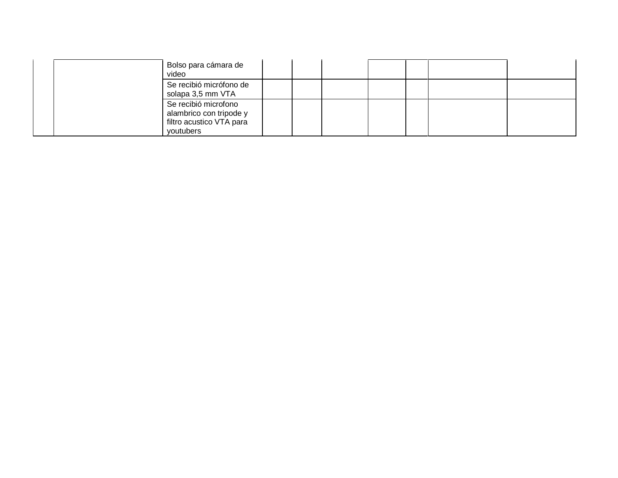| Bolso para cámara de<br>video                                                            |  |
|------------------------------------------------------------------------------------------|--|
| Se recibió micrófono de<br>solapa 3,5 mm VTA                                             |  |
| Se recibió microfono<br>alambrico con tripode y<br>filtro acustico VTA para<br>youtubers |  |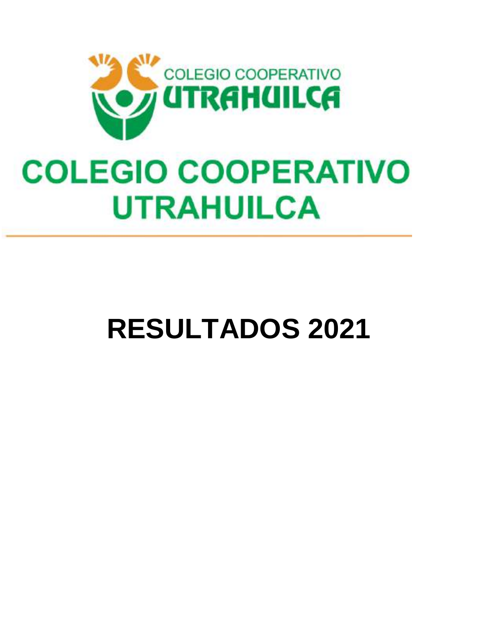

# **COLEGIO COOPERATIVO UTRAHUILCA**

# **RESULTADOS 2021**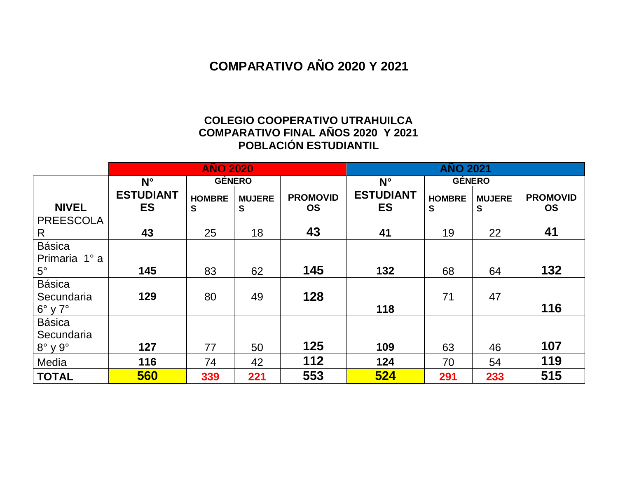#### **COMPARATIVO AÑO 2020 Y 2021**

#### **COLEGIO COOPERATIVO UTRAHUILCA COMPARATIVO FINAL AÑOS 2020 Y 2021 POBLACIÓN ESTUDIANTIL**

|                        |                               | <b>AÑO 2020</b>    |                    |                              | <b>AÑO 2021</b>               |                    |                    |                              |
|------------------------|-------------------------------|--------------------|--------------------|------------------------------|-------------------------------|--------------------|--------------------|------------------------------|
|                        | $N^{\circ}$                   |                    | <b>GÉNERO</b>      |                              | $N^{\circ}$                   | <b>GÉNERO</b>      |                    |                              |
| <b>NIVEL</b>           | <b>ESTUDIANT</b><br><b>ES</b> | <b>HOMBRE</b><br>S | <b>MUJERE</b><br>S | <b>PROMOVID</b><br><b>OS</b> | <b>ESTUDIANT</b><br><b>ES</b> | <b>HOMBRE</b><br>S | <b>MUJERE</b><br>S | <b>PROMOVID</b><br><b>OS</b> |
| <b>PREESCOLA</b>       |                               |                    |                    |                              |                               |                    |                    |                              |
| R.                     | 43                            | 25                 | 18                 | 43                           | 41                            | 19                 | 22                 | 41                           |
| <b>Básica</b>          |                               |                    |                    |                              |                               |                    |                    |                              |
| Primaria 1° a          |                               |                    |                    |                              |                               |                    |                    |                              |
| $5^\circ$              | 145                           | 83                 | 62                 | 145                          | 132                           | 68                 | 64                 | 132                          |
| <b>Básica</b>          |                               |                    |                    |                              |                               |                    |                    |                              |
| Secundaria             | 129                           | 80                 | 49                 | 128                          |                               | 71                 | 47                 |                              |
| $6^\circ$ y $7^\circ$  |                               |                    |                    |                              | 118                           |                    |                    | 116                          |
| <b>Básica</b>          |                               |                    |                    |                              |                               |                    |                    |                              |
| Secundaria             |                               |                    |                    |                              |                               |                    |                    |                              |
| $8^\circ \vee 9^\circ$ | 127                           | 77                 | 50                 | 125                          | 109                           | 63                 | 46                 | 107                          |
| Media                  | 116                           | 74                 | 42                 | 112                          | 124                           | 70                 | 54                 | 119                          |
| <b>TOTAL</b>           | 560                           | 339                | 221                | 553                          | 524                           | 291                | 233                | 515                          |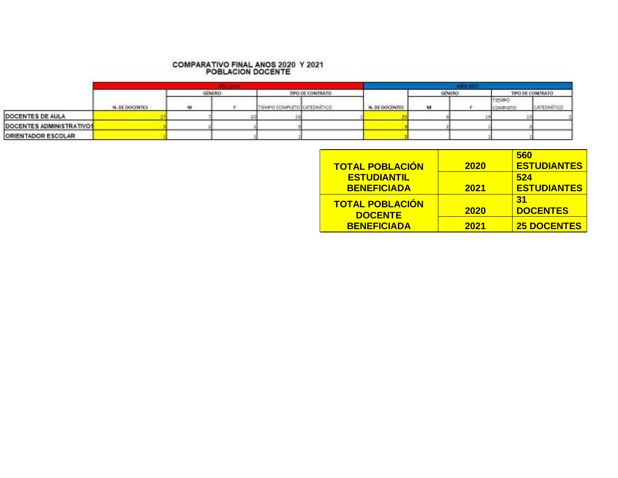### **COMPARATIVO FINAL ANOS 2020 Y 2021**<br>POBLACION DOCENTE

|                           |                | GÉNERO |  | TIPO DE CONTRATO            |  |                | GENERO |  | TIPO DE CONTRATO          |             |
|---------------------------|----------------|--------|--|-----------------------------|--|----------------|--------|--|---------------------------|-------------|
|                           | N. DE DOCENTES | M      |  | TIENPO CONFLETO CATEDRÁTICO |  | N. DE DOCENTES | м      |  | TIOMPO<br><b>CDMPLETO</b> | CATEDRATICO |
| <b>DOCENTES DE AULA</b>   |                |        |  |                             |  |                |        |  |                           |             |
| DOCENTES ADMINISTRATIVOS  |                |        |  |                             |  |                |        |  |                           |             |
| <b>ORIENTADOR ESCOLAR</b> |                |        |  |                             |  |                |        |  |                           |             |

|                        |             | 560                |
|------------------------|-------------|--------------------|
| <b>TOTAL POBLACIÓN</b> | 2020        | <b>ESTUDIANTES</b> |
| <b>ESTUDIANTIL</b>     |             | 524                |
| <b>BENEFICIADA</b>     | <b>2021</b> | <b>ESTUDIANTES</b> |
| <b>TOTAL POBLACIÓN</b> |             | 31                 |
| <b>DOCENTE</b>         | 2020        | <b>DOCENTES</b>    |
| <b>BENEFICIADA</b>     | 2021        | <b>25 DOCENTES</b> |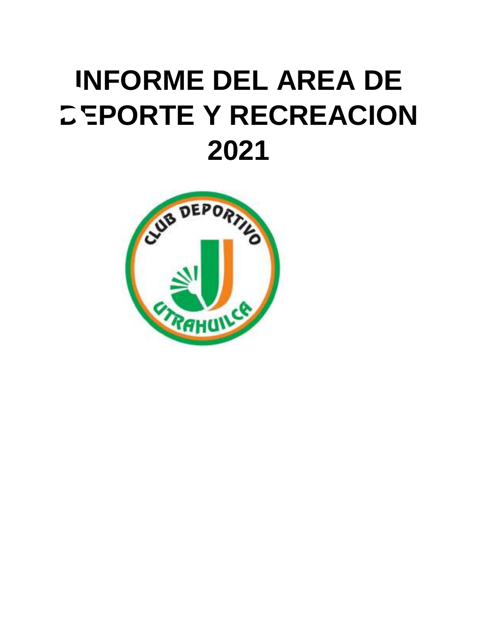# **1NFORME DEL AREA DE<br>
CEPORTE Y RECREACION<br>
2021 INFORME DEL AREA DE**

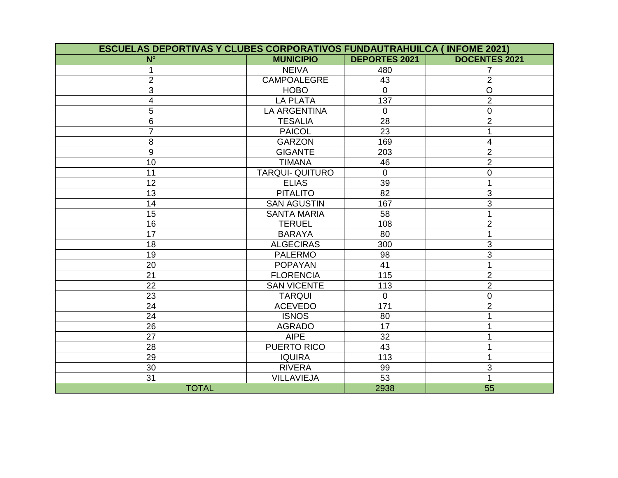| <b>ESCUELAS DEPORTIVAS Y CLUBES CORPORATIVOS FUNDAUTRAHUILCA (INFOME 2021)</b> |                        |                      |                      |
|--------------------------------------------------------------------------------|------------------------|----------------------|----------------------|
| $N^{\circ}$                                                                    | <b>MUNICIPIO</b>       | <b>DEPORTES 2021</b> | <b>DOCENTES 2021</b> |
|                                                                                | <b>NEIVA</b>           | 480                  |                      |
| $\overline{2}$                                                                 | <b>CAMPOALEGRE</b>     | $\overline{43}$      | $\overline{2}$       |
| 3                                                                              | <b>HOBO</b>            | $\mathbf 0$          | $\overline{O}$       |
| 4                                                                              | <b>LA PLATA</b>        | 137                  | $\overline{2}$       |
| 5                                                                              | <b>LA ARGENTINA</b>    | $\Omega$             | $\overline{0}$       |
| 6                                                                              | <b>TESALIA</b>         | 28                   | $\overline{2}$       |
| $\overline{7}$                                                                 | <b>PAICOL</b>          | 23                   | 1                    |
| 8                                                                              | <b>GARZON</b>          | 169                  | $\overline{4}$       |
| $\boldsymbol{9}$                                                               | <b>GIGANTE</b>         | 203                  | $\overline{2}$       |
| 10                                                                             | <b>TIMANA</b>          | 46                   | $\overline{2}$       |
| 11                                                                             | <b>TARQUI- QUITURO</b> | $\overline{0}$       | $\mathbf 0$          |
| 12                                                                             | <b>ELIAS</b>           | 39                   |                      |
| 13                                                                             | <b>PITALITO</b>        | $\overline{82}$      | $\mathfrak{B}$       |
| 14                                                                             | <b>SAN AGUSTIN</b>     | 167                  | 3                    |
| 15                                                                             | <b>SANTA MARIA</b>     | 58                   |                      |
| 16                                                                             | <b>TERUEL</b>          | 108                  | $\overline{2}$       |
| 17                                                                             | <b>BARAYA</b>          | 80                   | 1                    |
| 18                                                                             | <b>ALGECIRAS</b>       | 300                  | 3                    |
| 19                                                                             | <b>PALERMO</b>         | 98                   | 3                    |
| 20                                                                             | <b>POPAYAN</b>         | 41                   |                      |
| 21                                                                             | <b>FLORENCIA</b>       | 115                  | $\overline{2}$       |
| 22                                                                             | <b>SAN VICENTE</b>     | 113                  | $\overline{2}$       |
| 23                                                                             | <b>TARQUI</b>          | $\mathbf{0}$         | $\pmb{0}$            |
| 24                                                                             | <b>ACEVEDO</b>         | 171                  | $\overline{2}$       |
| 24                                                                             | <b>ISNOS</b>           | 80                   |                      |
| 26                                                                             | <b>AGRADO</b>          | 17                   |                      |
| 27                                                                             | <b>AIPE</b>            | 32                   |                      |
| 28                                                                             | PUERTO RICO            | 43                   |                      |
| 29                                                                             | <b>IQUIRA</b>          | 113                  |                      |
| 30                                                                             | <b>RIVERA</b>          | 99                   | 3                    |
| 31                                                                             | <b>VILLAVIEJA</b>      | 53                   | 1                    |
| <b>TOTAL</b>                                                                   |                        | 2938                 | 55                   |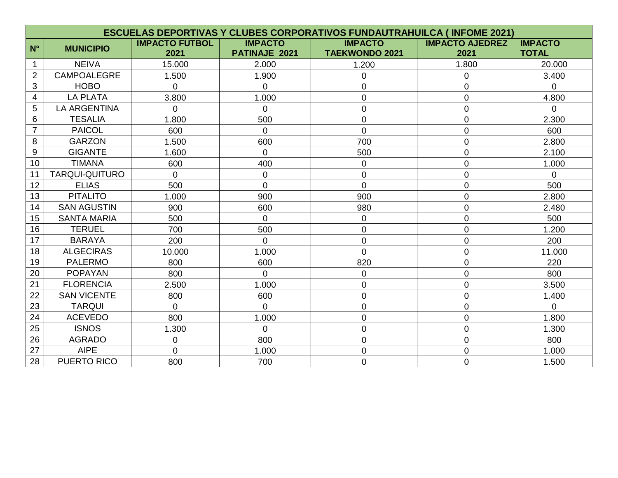|                | <b>ESCUELAS DEPORTIVAS Y CLUBES CORPORATIVOS FUNDAUTRAHUILCA (INFOME 2021)</b> |                               |                                 |                                         |                                |                                |  |  |  |  |
|----------------|--------------------------------------------------------------------------------|-------------------------------|---------------------------------|-----------------------------------------|--------------------------------|--------------------------------|--|--|--|--|
| $N^{\circ}$    | <b>MUNICIPIO</b>                                                               | <b>IMPACTO FUTBOL</b><br>2021 | <b>IMPACTO</b><br>PATINAJE 2021 | <b>IMPACTO</b><br><b>TAEKWONDO 2021</b> | <b>IMPACTO AJEDREZ</b><br>2021 | <b>IMPACTO</b><br><b>TOTAL</b> |  |  |  |  |
| 1              | <b>NEIVA</b>                                                                   | 15.000                        | 2.000                           | 1.200                                   | 1.800                          | 20.000                         |  |  |  |  |
| $\overline{2}$ | CAMPOALEGRE                                                                    | 1.500                         | 1.900                           | $\mathbf 0$                             | 0                              | 3.400                          |  |  |  |  |
| 3              | <b>HOBO</b>                                                                    | $\Omega$                      | $\Omega$                        | $\mathbf 0$                             | 0                              | $\Omega$                       |  |  |  |  |
| 4              | <b>LA PLATA</b>                                                                | 3.800                         | 1.000                           | $\mathbf 0$                             | 0                              | 4.800                          |  |  |  |  |
| 5              | <b>LA ARGENTINA</b>                                                            | 0                             | $\overline{0}$                  | $\mathbf 0$                             | 0                              | $\overline{0}$                 |  |  |  |  |
| 6              | <b>TESALIA</b>                                                                 | 1.800                         | 500                             | $\overline{0}$                          | $\overline{0}$                 | 2.300                          |  |  |  |  |
| $\overline{7}$ | <b>PAICOL</b>                                                                  | 600                           | $\Omega$                        | $\overline{0}$                          | 0                              | 600                            |  |  |  |  |
| 8              | <b>GARZON</b>                                                                  | 1.500                         | 600                             | 700                                     | 0                              | 2.800                          |  |  |  |  |
| $9\,$          | <b>GIGANTE</b>                                                                 | 1.600                         | $\overline{0}$                  | 500                                     | 0                              | 2.100                          |  |  |  |  |
| 10             | <b>TIMANA</b>                                                                  | 600                           | 400                             | $\overline{0}$                          | 0                              | 1.000                          |  |  |  |  |
| 11             | <b>TARQUI-QUITURO</b>                                                          | $\Omega$                      | $\overline{0}$                  | $\mathbf 0$                             | $\overline{0}$                 | $\Omega$                       |  |  |  |  |
| 12             | <b>ELIAS</b>                                                                   | 500                           | $\overline{0}$                  | $\overline{0}$                          | $\overline{0}$                 | 500                            |  |  |  |  |
| 13             | <b>PITALITO</b>                                                                | 1.000                         | 900                             | 900                                     | 0                              | 2.800                          |  |  |  |  |
| 14             | <b>SAN AGUSTIN</b>                                                             | 900                           | 600                             | 980                                     | $\overline{0}$                 | 2.480                          |  |  |  |  |
| 15             | <b>SANTA MARIA</b>                                                             | 500                           | $\Omega$                        | $\overline{0}$                          | 0                              | 500                            |  |  |  |  |
| 16             | <b>TERUEL</b>                                                                  | 700                           | 500                             | $\overline{0}$                          | $\overline{0}$                 | 1.200                          |  |  |  |  |
| 17             | <b>BARAYA</b>                                                                  | 200                           | $\Omega$                        | $\overline{0}$                          | 0                              | 200                            |  |  |  |  |
| 18             | <b>ALGECIRAS</b>                                                               | 10.000                        | 1.000                           | $\Omega$                                | 0                              | 11.000                         |  |  |  |  |
| 19             | <b>PALERMO</b>                                                                 | 800                           | 600                             | 820                                     | $\overline{0}$                 | 220                            |  |  |  |  |
| 20             | <b>POPAYAN</b>                                                                 | 800                           | $\overline{0}$                  | $\overline{0}$                          | 0                              | 800                            |  |  |  |  |
| 21             | <b>FLORENCIA</b>                                                               | 2.500                         | 1.000                           | $\mathbf 0$                             | 0                              | 3.500                          |  |  |  |  |
| 22             | <b>SAN VICENTE</b>                                                             | 800                           | 600                             | $\mathbf 0$                             | $\overline{0}$                 | 1.400                          |  |  |  |  |
| 23             | <b>TARQUI</b>                                                                  | $\overline{0}$                | $\Omega$                        | $\overline{0}$                          | 0                              | $\Omega$                       |  |  |  |  |
| 24             | <b>ACEVEDO</b>                                                                 | 800                           | 1.000                           | $\mathbf 0$                             | 0                              | 1.800                          |  |  |  |  |
| 25             | <b>ISNOS</b>                                                                   | 1.300                         | $\overline{0}$                  | $\mathbf 0$                             | 0                              | 1.300                          |  |  |  |  |
| 26             | <b>AGRADO</b>                                                                  | 0                             | 800                             | $\mathbf 0$                             | 0                              | 800                            |  |  |  |  |
| 27             | <b>AIPE</b>                                                                    | $\Omega$                      | 1.000                           | $\overline{0}$                          | 0                              | 1.000                          |  |  |  |  |
| 28             | <b>PUERTO RICO</b>                                                             | 800                           | 700                             | $\overline{0}$                          | 0                              | 1.500                          |  |  |  |  |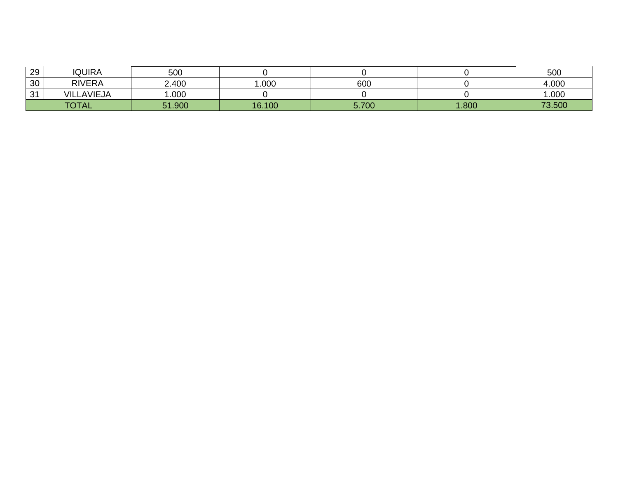| 29            | <b>IQUIRA</b>     | 500    |        |       |       | 500    |
|---------------|-------------------|--------|--------|-------|-------|--------|
| 30            | <b>RIVERA</b>     | 2.400  | .000   | 600   |       | 4.000  |
| $\Omega$<br>ັ | <b>VILLAVIEJA</b> | .000   |        |       |       | .000   |
|               | <b>TOTAL</b>      | 51.900 | 16.100 | 5.700 | 1.800 | 73.500 |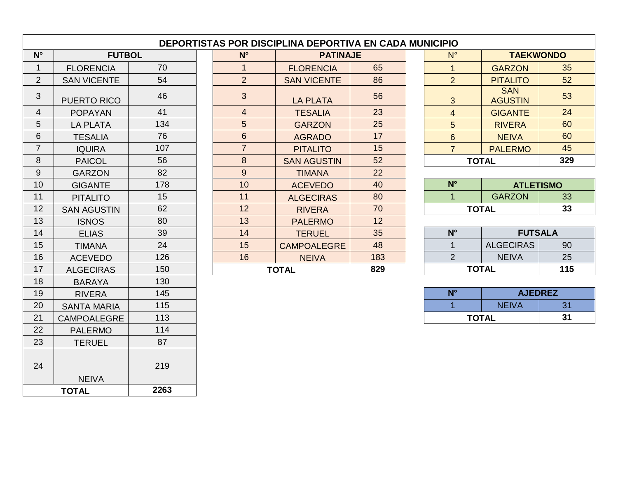| $N^{\circ}$    | <b>FUTBOL</b>      |     |  | $N^{\circ}$      | <b>PATINAJE</b>          |     |              | $N^{\circ}$    | <b>TAEKWONDO</b>             |     |
|----------------|--------------------|-----|--|------------------|--------------------------|-----|--------------|----------------|------------------------------|-----|
| $\mathbf{1}$   | <b>FLORENCIA</b>   | 70  |  | $\mathbf{1}$     | <b>FLORENCIA</b>         | 65  |              | $\overline{1}$ | <b>GARZON</b>                | 35  |
| $\overline{2}$ | <b>SAN VICENTE</b> | 54  |  | $\overline{2}$   | <b>SAN VICENTE</b>       | 86  |              | 2              | <b>PITALITO</b>              | 52  |
| 3              | PUERTO RICO        | 46  |  | 3                | <b>LA PLATA</b>          | 56  |              | 3              | <b>SAN</b><br><b>AGUSTIN</b> | 53  |
| $\overline{4}$ | <b>POPAYAN</b>     | 41  |  | $\overline{4}$   | <b>TESALIA</b>           | 23  |              | $\overline{4}$ | <b>GIGANTE</b>               | 24  |
| 5              | <b>LA PLATA</b>    | 134 |  | 5                | <b>GARZON</b>            | 25  |              | 5              | <b>RIVERA</b>                | 60  |
| 6              | <b>TESALIA</b>     | 76  |  | 6                | <b>AGRADO</b>            | 17  |              | $6\phantom{1}$ | <b>NEIVA</b>                 | 60  |
| $\overline{7}$ | <b>IQUIRA</b>      | 107 |  | $\overline{7}$   | <b>PITALITO</b>          | 15  |              | $\overline{7}$ | <b>PALERMO</b>               | 45  |
| 8              | <b>PAICOL</b>      | 56  |  | $\boldsymbol{8}$ | 52<br><b>SAN AGUSTIN</b> |     | <b>TOTAL</b> |                | 329                          |     |
| 9              | <b>GARZON</b>      | 82  |  | $9\,$            | <b>TIMANA</b>            | 22  |              |                |                              |     |
| 10             | <b>GIGANTE</b>     | 178 |  | 10               | <b>ACEVEDO</b>           | 40  |              | $N^{\circ}$    | <b>ATLETISMO</b>             |     |
| 11             | <b>PITALITO</b>    | 15  |  | 11               | <b>ALGECIRAS</b>         | 80  |              | $\mathbf{1}$   | <b>GARZON</b>                | 33  |
| 12             | <b>SAN AGUSTIN</b> | 62  |  | 12               | <b>RIVERA</b>            | 70  |              |                | <b>TOTAL</b>                 | 33  |
| 13             | <b>ISNOS</b>       | 80  |  | 13               | <b>PALERMO</b>           | 12  |              |                |                              |     |
| 14             | <b>ELIAS</b>       | 39  |  | 14               | <b>TERUEL</b>            | 35  |              | $N^{\circ}$    | <b>FUTSALA</b>               |     |
| 15             | <b>TIMANA</b>      | 24  |  | 15               | <b>CAMPOALEGRE</b>       | 48  |              | $\mathbf 1$    | <b>ALGECIRAS</b>             | 90  |
| 16             | <b>ACEVEDO</b>     | 126 |  | 16               | <b>NEIVA</b>             | 183 |              | 2              | <b>NEIVA</b>                 | 25  |
| 17             | <b>ALGECIRAS</b>   | 150 |  |                  | <b>TOTAL</b>             | 829 |              |                | <b>TOTAL</b>                 | 115 |
| 18             | <b>BARAYA</b>      | 130 |  |                  |                          |     |              |                |                              |     |
| 19             | <b>RIVERA</b>      | 145 |  |                  |                          |     |              | $N^{\circ}$    | <b>AJEDREZ</b>               |     |
| 20             | <b>SANTA MARIA</b> | 115 |  |                  |                          |     |              |                | <b>NEIVA</b>                 | 31  |
| 21             | <b>CAMPOALEGRE</b> | 113 |  |                  |                          |     |              |                | <b>TOTAL</b>                 | 31  |
| 22             | <b>PALERMO</b>     | 114 |  |                  |                          |     |              |                |                              |     |
| 23             | <b>TERUEL</b>      | 87  |  |                  |                          |     |              |                |                              |     |
| 24             | <b>NEIVA</b>       | 219 |  |                  |                          |     |              |                |                              |     |

**TOTAL 2263**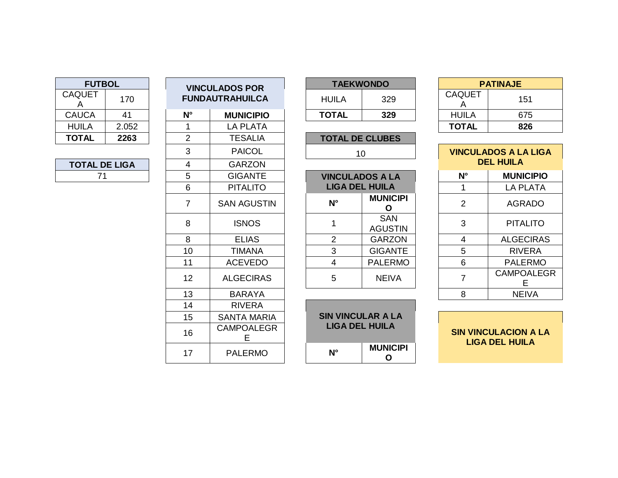| <b>TAEKWONDO</b> |     |               | <b>PATINAJE</b> |
|------------------|-----|---------------|-----------------|
| IIL A<br>329     |     | <b>CAQUET</b> | 151             |
| TAL              | 329 | <b>HUILA</b>  | 675             |
|                  |     | <b>TOTAL</b>  | 826             |

| 3                | <b>PAICOL</b>      |  | 10                     |                              |  |             |                        | <b>VINCULADOS A LA LIGA</b> |  |
|------------------|--------------------|--|------------------------|------------------------------|--|-------------|------------------------|-----------------------------|--|
| $\overline{4}$   | <b>GARZON</b>      |  |                        |                              |  |             | <b>DEL HUILA</b>       |                             |  |
| $\overline{5}$   | <b>GIGANTE</b>     |  | <b>VINCULADOS A LA</b> |                              |  | $N^{\circ}$ | <b>MUNICIPIO</b>       |                             |  |
| 6                | <b>PITALITO</b>    |  | <b>LIGA DEL HUILA</b>  |                              |  |             | <b>LA PLATA</b>        |                             |  |
| $\overline{7}$   | <b>SAN AGUSTIN</b> |  | $N^{\circ}$            | <b>MUNICIPI</b>              |  | 2           | <b>AGRADO</b>          |                             |  |
| 8                | <b>ISNOS</b>       |  |                        | <b>SAN</b><br><b>AGUSTIN</b> |  | 3           | <b>PITALITO</b>        |                             |  |
| $\boldsymbol{8}$ | <b>ELIAS</b>       |  | 2                      | <b>GARZON</b>                |  | 4           | <b>ALGECIRAS</b>       |                             |  |
| 10               | <b>TIMANA</b>      |  | 3                      | <b>GIGANTE</b>               |  | 5           | <b>RIVERA</b>          |                             |  |
| 11               | <b>ACEVEDO</b>     |  | 4                      | <b>PALERMO</b>               |  | 6           | <b>PALERMO</b>         |                             |  |
| 12               | <b>ALGECIRAS</b>   |  | 5                      | <b>NEIVA</b>                 |  |             | <b>CAMPOALEGR</b><br>F |                             |  |
| 13               | <b>BARAYA</b>      |  |                        |                              |  | 8           | <b>NEIVA</b>           |                             |  |

| <b>SIN VINCULACION A LA</b> |
|-----------------------------|
| LIGA DEL HUILA              |

| <b>TAEKWONDO</b> |     |  |  |  |  |  |  |  |
|------------------|-----|--|--|--|--|--|--|--|
| HUILA            | 329 |  |  |  |  |  |  |  |
| <b>TOTAL</b>     | 329 |  |  |  |  |  |  |  |

| $\overline{2}$  | <b>TESALIA</b>     | <b>TOTAL DE CLUBES</b> |                              |  |                |                            |
|-----------------|--------------------|------------------------|------------------------------|--|----------------|----------------------------|
| $\mathbf{3}$    | <b>PAICOL</b>      | 10                     |                              |  |                | <b>VINCULADOS A LA LIC</b> |
| $\overline{4}$  | <b>GARZON</b>      |                        |                              |  |                | <b>DEL HUILA</b>           |
| $5\phantom{.0}$ | <b>GIGANTE</b>     | <b>VINCULADOS A LA</b> |                              |  | $N^{\circ}$    | <b>MUNICIPI</b>            |
| 6               | <b>PITALITO</b>    | <b>LIGA DEL HUILA</b>  |                              |  |                | LA PLAT                    |
| $\overline{7}$  | <b>SAN AGUSTIN</b> | $N^{\circ}$            | <b>MUNICIPI</b>              |  | $\overline{2}$ | <b>AGRADO</b>              |
| 8               | <b>ISNOS</b>       |                        | <b>SAN</b><br><b>AGUSTIN</b> |  | 3              | <b>PITALITO</b>            |
| 8               | <b>ELIAS</b>       | 2                      | <b>GARZON</b>                |  | 4              | ALGECIR/                   |
| 10              | <b>TIMANA</b>      | 3                      | <b>GIGANTE</b>               |  | 5              | <b>RIVERA</b>              |
| 11              | <b>ACEVEDO</b>     | 4                      | <b>PALERMO</b>               |  | 6              | <b>PALERM</b>              |
| 12 <sup>2</sup> | <b>ALGECIRAS</b>   | 5                      | <b>NEIVA</b>                 |  |                | <b>CAMPOALE</b>            |

| <b>SIN VINCULAR A LA</b><br>LIGA DEL HUILA |                 |
|--------------------------------------------|-----------------|
| N°                                         | <b>MUNICIPI</b> |

| <b>FUTBOL</b>        |       | <b>VINCULADOS POR</b> |                        |  | <b>TAEKWONDO</b>      |                                 |  | <b>PATINAJE</b>    |                           |                                                   |  |
|----------------------|-------|-----------------------|------------------------|--|-----------------------|---------------------------------|--|--------------------|---------------------------|---------------------------------------------------|--|
| <b>CAQUET</b><br>A   | 170   |                       | <b>FUNDAUTRAHUILCA</b> |  | <b>HUILA</b>          | 329                             |  | <b>CAQUET</b><br>A | 151                       |                                                   |  |
| CAUCA                | 41    | $N^{\circ}$           | <b>MUNICIPIO</b>       |  | <b>TOTAL</b>          | 329                             |  | <b>HUILA</b>       | 675                       |                                                   |  |
| <b>HUILA</b>         | 2.052 | 1                     | <b>LA PLATA</b>        |  |                       |                                 |  | <b>TOTAL</b>       | 826                       |                                                   |  |
| <b>TOTAL</b>         | 2263  | $\overline{2}$        | <b>TESALIA</b>         |  |                       | <b>TOTAL DE CLUBES</b>          |  |                    |                           |                                                   |  |
|                      |       | 3                     | <b>PAICOL</b>          |  |                       | 10                              |  |                    | <b>VINCULADOS A LA LI</b> |                                                   |  |
| <b>TOTAL DE LIGA</b> |       | 4                     | <b>GARZON</b>          |  |                       |                                 |  | <b>DEL HUILA</b>   |                           |                                                   |  |
| 71                   |       | 5                     | <b>GIGANTE</b>         |  |                       | <b>VINCULADOS A LA</b>          |  | $N^{\circ}$        | <b>MUNICIP</b>            |                                                   |  |
|                      |       | 6                     | <b>PITALITO</b>        |  |                       | <b>LIGA DEL HUILA</b>           |  |                    | <b>LA PLAT</b>            |                                                   |  |
|                      |       | $\overline{7}$        | <b>SAN AGUSTIN</b>     |  | $N^{\circ}$           | <b>MUNICIPI</b><br>O            |  | 2                  | <b>AGRAD</b>              |                                                   |  |
|                      |       | 8                     | <b>ISNOS</b>           |  | 1                     | <b>SAN</b><br><b>AGUSTIN</b>    |  | 3                  | <b>PITALIT</b>            |                                                   |  |
|                      |       | 8                     | <b>ELIAS</b>           |  | $\overline{2}$        | <b>GARZON</b>                   |  | 4                  | <b>ALGECIR</b>            |                                                   |  |
|                      |       | 10                    | <b>TIMANA</b>          |  | 3                     | <b>GIGANTE</b>                  |  | 5                  | <b>RIVER</b>              |                                                   |  |
|                      |       | 11                    | <b>ACEVEDO</b>         |  | 4                     | <b>PALERMO</b>                  |  | 6                  | <b>PALERN</b>             |                                                   |  |
|                      |       | 12 <sub>2</sub>       | <b>ALGECIRAS</b>       |  | 5                     | <b>NEIVA</b>                    |  | $\overline{7}$     | <b>CAMPOAL</b><br>E.      |                                                   |  |
|                      |       | 13                    | <b>BARAYA</b>          |  |                       |                                 |  | 8                  | <b>NEIVA</b>              |                                                   |  |
|                      |       | 14                    | <b>RIVERA</b>          |  |                       |                                 |  |                    |                           |                                                   |  |
|                      |       | 15                    | <b>SANTA MARIA</b>     |  |                       | <b>SIN VINCULAR A LA</b>        |  |                    |                           |                                                   |  |
|                      |       | 16                    | <b>CAMPOALEGR</b><br>E |  | <b>LIGA DEL HUILA</b> |                                 |  |                    |                           | <b>SIN VINCULACION A</b><br><b>LIGA DEL HUILA</b> |  |
|                      |       | 17                    | <b>PALERMO</b>         |  | $N^{\circ}$           | <b>MUNICIPI</b><br>$\mathbf{o}$ |  |                    |                           |                                                   |  |

| <b>FUTBOL</b>      |       |  |  |  |  |  |  |  |
|--------------------|-------|--|--|--|--|--|--|--|
| <b>CAQUET</b><br>А | 170   |  |  |  |  |  |  |  |
| CAUCA              | 41    |  |  |  |  |  |  |  |
| HUILA              | 2.052 |  |  |  |  |  |  |  |
| TOTAL              | 2263  |  |  |  |  |  |  |  |

| <b>TOTAL DE LIGA</b> |  |
|----------------------|--|
| 71                   |  |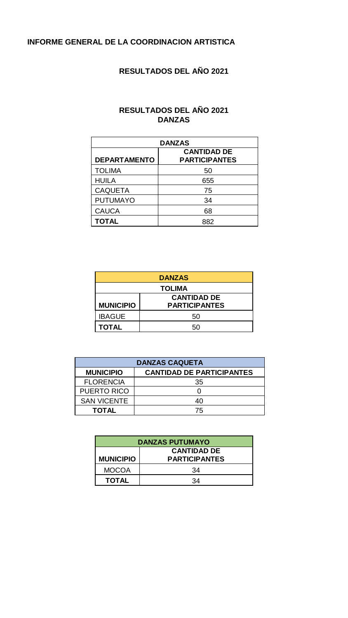#### **INFORME GENERAL DE LA COORDINACION ARTISTICA**

#### **RESULTADOS DEL AÑO 2021**

#### **RESULTADOS DEL AÑO 2021 DANZAS**

| <b>DANZAS</b>       |                                            |  |  |
|---------------------|--------------------------------------------|--|--|
| <b>DEPARTAMENTO</b> | <b>CANTIDAD DE</b><br><b>PARTICIPANTES</b> |  |  |
| <b>TOLIMA</b>       | 50                                         |  |  |
| <b>HUILA</b>        | 655                                        |  |  |
| <b>CAQUETA</b>      | 75                                         |  |  |
| <b>PUTUMAYO</b>     | 34                                         |  |  |
| <b>CAUCA</b>        | 68                                         |  |  |
| <b>TOTAL</b>        | 882                                        |  |  |

| <b>DANZAS</b>      |                      |  |  |
|--------------------|----------------------|--|--|
| <b>TOLIMA</b>      |                      |  |  |
| <b>CANTIDAD DE</b> |                      |  |  |
| <b>MUNICIPIO</b>   | <b>PARTICIPANTES</b> |  |  |
| <b>IBAGUE</b>      | 50                   |  |  |
| <b>TOTAL</b>       | 50                   |  |  |

| <b>DANZAS CAQUETA</b>                                |    |  |  |
|------------------------------------------------------|----|--|--|
| <b>CANTIDAD DE PARTICIPANTES</b><br><b>MUNICIPIO</b> |    |  |  |
| <b>FLORENCIA</b>                                     | 35 |  |  |
| PUERTO RICO                                          |    |  |  |
| <b>SAN VICENTE</b>                                   | 40 |  |  |
| TOTAL                                                | 75 |  |  |

| <b>DANZAS PUTUMAYO</b>                                         |    |  |
|----------------------------------------------------------------|----|--|
| <b>CANTIDAD DE</b><br><b>PARTICIPANTES</b><br><b>MUNICIPIO</b> |    |  |
| <b>MOCOA</b>                                                   | 34 |  |
| <b>TOTAL</b>                                                   | 34 |  |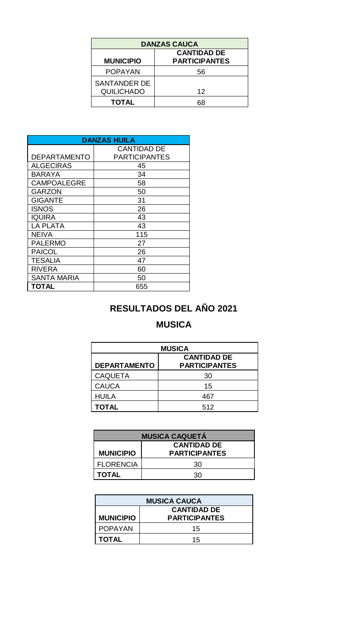| <b>DANZAS CAUCA</b>                                            |    |  |  |
|----------------------------------------------------------------|----|--|--|
| <b>CANTIDAD DE</b><br><b>PARTICIPANTES</b><br><b>MUNICIPIO</b> |    |  |  |
| <b>POPAYAN</b>                                                 | 56 |  |  |
| <b>SANTANDER DE</b><br><b>QUILICHADO</b>                       | 12 |  |  |
| <b>TOTAL</b>                                                   |    |  |  |

| <b>DANZAS HUILA</b> |                      |  |
|---------------------|----------------------|--|
|                     | <b>CANTIDAD DE</b>   |  |
| <b>DEPARTAMENTO</b> | <b>PARTICIPANTES</b> |  |
| <b>ALGECIRAS</b>    | 45                   |  |
| <b>BARAYA</b>       | 34                   |  |
| <b>CAMPOALEGRE</b>  | 58                   |  |
| GARZON              | 50                   |  |
| <b>GIGANTE</b>      | 31                   |  |
| <b>ISNOS</b>        | 26                   |  |
| IQUIRA              | 43                   |  |
| <b>LA PLATA</b>     | 43                   |  |
| <b>NEIVA</b>        | 115                  |  |
| <b>PALERMO</b>      | 27                   |  |
| <b>PAICOL</b>       | 26                   |  |
| <b>TESALIA</b>      | 47                   |  |
| <b>RIVERA</b>       | 60                   |  |
| <b>SANTA MARIA</b>  | 50                   |  |
| TOTAL               | 655                  |  |

#### **RESULTADOS DEL AÑO 2021**

#### **MUSICA**

| <b>MUSICA</b>                                                     |     |  |  |
|-------------------------------------------------------------------|-----|--|--|
| <b>CANTIDAD DE</b><br><b>DEPARTAMENTO</b><br><b>PARTICIPANTES</b> |     |  |  |
| <b>CAQUETA</b>                                                    | 30  |  |  |
| <b>CAUCA</b>                                                      | 15  |  |  |
| <b>HUILA</b>                                                      | 467 |  |  |
| <b>TOTAL</b>                                                      | 512 |  |  |

| <b>MUSICA CAQUETÁ</b> |                      |  |
|-----------------------|----------------------|--|
| <b>CANTIDAD DE</b>    |                      |  |
| <b>MUNICIPIO</b>      | <b>PARTICIPANTES</b> |  |
| <b>FLORENCIA</b>      | 30                   |  |
| <b>TOTAL</b>          | 30.                  |  |

| <b>MUSICA CAUCA</b> |                      |  |
|---------------------|----------------------|--|
| <b>CANTIDAD DE</b>  |                      |  |
| <b>MUNICIPIO</b>    | <b>PARTICIPANTES</b> |  |
| <b>POPAYAN</b>      | 15                   |  |
| <b>TOTAL</b>        | 15                   |  |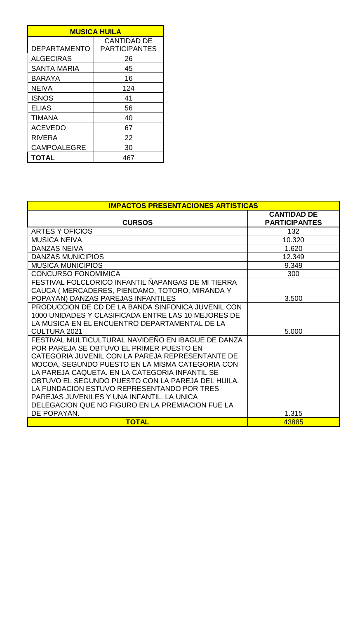| <b>MUSICA HUILA</b> |                      |  |
|---------------------|----------------------|--|
|                     | <b>CANTIDAD DE</b>   |  |
| <b>DEPARTAMENTO</b> | <b>PARTICIPANTES</b> |  |
| <b>ALGECIRAS</b>    | 26                   |  |
| SANTA MARIA         | 45                   |  |
| <b>BARAYA</b>       | 16                   |  |
| <b>NEIVA</b>        | 124                  |  |
| <b>ISNOS</b>        | 41                   |  |
| <b>ELIAS</b>        | 56                   |  |
| <b>TIMANA</b>       | 40                   |  |
| <b>ACEVEDO</b>      | 67                   |  |
| <b>RIVERA</b>       | 22                   |  |
| <b>CAMPOALEGRE</b>  | 30                   |  |
| <b>TOTAL</b>        | 467                  |  |

| <b>IMPACTOS PRESENTACIONES ARTISTICAS</b>                                                                                                                                                                                                                                                                                                                                                                                                                                   |                                            |  |
|-----------------------------------------------------------------------------------------------------------------------------------------------------------------------------------------------------------------------------------------------------------------------------------------------------------------------------------------------------------------------------------------------------------------------------------------------------------------------------|--------------------------------------------|--|
| <b>CURSOS</b>                                                                                                                                                                                                                                                                                                                                                                                                                                                               | <b>CANTIDAD DE</b><br><b>PARTICIPANTES</b> |  |
| ARTES Y OFICIOS                                                                                                                                                                                                                                                                                                                                                                                                                                                             | 132                                        |  |
| <b>MUSICA NEIVA</b>                                                                                                                                                                                                                                                                                                                                                                                                                                                         | 10.320                                     |  |
| <b>DANZAS NEIVA</b>                                                                                                                                                                                                                                                                                                                                                                                                                                                         | 1.620                                      |  |
| <b>DANZAS MUNICIPIOS</b>                                                                                                                                                                                                                                                                                                                                                                                                                                                    | 12.349                                     |  |
| <b>MUSICA MUNICIPIOS</b>                                                                                                                                                                                                                                                                                                                                                                                                                                                    | 9.349                                      |  |
| CONCURSO FONOMIMICA                                                                                                                                                                                                                                                                                                                                                                                                                                                         | 300                                        |  |
| FESTIVAL FOLCLORICO INFANTIL ÑAPANGAS DE MI TIERRA<br>CAUCA (MERCADERES, PIENDAMO, TOTORO, MIRANDA Y<br>POPAYAN) DANZAS PAREJAS INFANTILES                                                                                                                                                                                                                                                                                                                                  | 3.500                                      |  |
| PRODUCCION DE CD DE LA BANDA SINFONICA JUVENIL CON<br>1000 UNIDADES Y CLASIFICADA ENTRE LAS 10 MEJORES DE<br>LA MUSICA EN EL ENCUENTRO DEPARTAMENTAL DE LA<br><b>CULTURA 2021</b>                                                                                                                                                                                                                                                                                           | 5.000                                      |  |
| FESTIVAL MULTICULTURAL NAVIDEÑO EN IBAGUE DE DANZA<br>POR PAREJA SE OBTUVO EL PRIMER PUESTO EN<br>CATEGORIA JUVENIL CON LA PAREJA REPRESENTANTE DE<br>MOCOA, SEGUNDO PUESTO EN LA MISMA CATEGORIA CON<br>LA PAREJA CAQUETA. EN LA CATEGORIA INFANTIL SE<br>OBTUVO EL SEGUNDO PUESTO CON LA PAREJA DEL HUILA.<br>LA FUNDACION ESTUVO REPRESENTANDO POR TRES<br>PAREJAS JUVENILES Y UNA INFANTIL. LA UNICA<br>DELEGACION QUE NO FIGURO EN LA PREMIACION FUE LA<br>DE POPAYAN. | 1.315                                      |  |
| <b>TOTAL</b>                                                                                                                                                                                                                                                                                                                                                                                                                                                                | 43885                                      |  |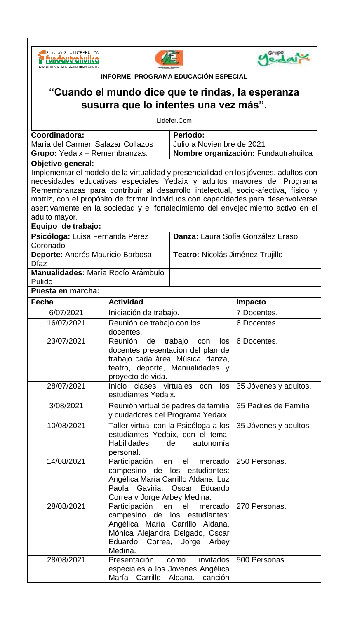**Sa Fundación Social UTRAHUILCA** os de Talento, Solidaridad y Excelencia Humana





| INFORME PROGRAMA EDUCACIÓN ESPECIAL                              |                    |                                                                   |                                       |                                                                                      |
|------------------------------------------------------------------|--------------------|-------------------------------------------------------------------|---------------------------------------|--------------------------------------------------------------------------------------|
| "Cuando el mundo dice que te rindas, la esperanza                |                    |                                                                   |                                       |                                                                                      |
| susurra que lo intentes una vez más".                            |                    |                                                                   |                                       |                                                                                      |
|                                                                  |                    |                                                                   | Lidefer.Com                           |                                                                                      |
| Coordinadora:                                                    |                    |                                                                   | Periodo:                              |                                                                                      |
|                                                                  |                    | María del Carmen Salazar Collazos                                 | Julio a Noviembre de 2021             |                                                                                      |
|                                                                  |                    | Grupo: Yedaix - Remembranzas.                                     |                                       | Nombre organización: Fundautrahuilca                                                 |
|                                                                  | Objetivo general:  |                                                                   |                                       | Implementar el modelo de la virtualidad y presencialidad en los jóvenes, adultos con |
|                                                                  |                    |                                                                   |                                       | necesidades educativas especiales Yedaix y adultos mayores del Programa              |
|                                                                  |                    |                                                                   |                                       | Remembranzas para contribuir al desarrollo intelectual, socio-afectiva, físico y     |
|                                                                  |                    |                                                                   |                                       | motriz, con el propósito de formar individuos con capacidades para desenvolverse     |
|                                                                  |                    |                                                                   |                                       | asertivamente en la sociedad y el fortalecimiento del envejecimiento activo en el    |
| adulto mayor.                                                    |                    |                                                                   |                                       |                                                                                      |
|                                                                  | Equipo de trabajo: |                                                                   |                                       |                                                                                      |
| Coronado                                                         |                    | Psicóloga: Luisa Fernanda Pérez                                   |                                       | Danza: Laura Sofía González Eraso                                                    |
|                                                                  |                    | Deporte: Andrés Mauricio Barbosa                                  | Teatro: Nicolás Jiménez Trujillo      |                                                                                      |
| Díaz                                                             |                    |                                                                   |                                       |                                                                                      |
| Manualidades: María Rocío Arámbulo<br>Pulido                     |                    |                                                                   |                                       |                                                                                      |
|                                                                  | Puesta en marcha:  |                                                                   |                                       |                                                                                      |
| Fecha                                                            |                    | <b>Actividad</b>                                                  |                                       | Impacto                                                                              |
|                                                                  | 6/07/2021          | Iniciación de trabajo.                                            |                                       | 7 Docentes.                                                                          |
|                                                                  | 16/07/2021         | Reunión de trabajo con los                                        |                                       | 6 Docentes.                                                                          |
|                                                                  |                    | docentes.                                                         |                                       |                                                                                      |
|                                                                  | 23/07/2021         | Reunión de                                                        | trabajo con<br>los                    | 6 Docentes.                                                                          |
|                                                                  |                    | docentes presentación del plan de                                 |                                       |                                                                                      |
|                                                                  |                    | trabajo cada área: Música, danza,                                 |                                       |                                                                                      |
|                                                                  |                    | teatro, deporte, Manualidades y<br>proyecto de vida.              |                                       |                                                                                      |
|                                                                  | 28/07/2021         | Inicio<br>clases virtuales<br>35 Jóvenes y adultos.<br>con<br>los |                                       |                                                                                      |
|                                                                  |                    | estudiantes Yedaix.                                               |                                       |                                                                                      |
|                                                                  | 3/08/2021          | Reunión virtual de padres de familia<br>35 Padres de Familia      |                                       |                                                                                      |
|                                                                  |                    | y cuidadores del Programa Yedaix.                                 |                                       |                                                                                      |
|                                                                  | 10/08/2021         |                                                                   | Taller virtual con la Psicóloga a los | 35 Jóvenes y adultos                                                                 |
|                                                                  |                    | estudiantes Yedaix, con el tema:                                  |                                       |                                                                                      |
|                                                                  |                    | <b>Habilidades</b><br>de<br>autonomía<br>personal.                |                                       |                                                                                      |
|                                                                  | 14/08/2021         | Participación                                                     | el<br>mercado<br>en                   | 250 Personas.                                                                        |
|                                                                  |                    |                                                                   | campesino de los estudiantes:         |                                                                                      |
|                                                                  |                    | Angélica María Carrillo Aldana, Luz                               |                                       |                                                                                      |
|                                                                  |                    | Paola Gaviria, Oscar<br>Eduardo                                   |                                       |                                                                                      |
|                                                                  |                    | Correa y Jorge Arbey Medina.                                      |                                       |                                                                                      |
|                                                                  | 28/08/2021         | Participación<br>mercado<br>270 Personas.<br>el<br>en             |                                       |                                                                                      |
| campesino de los estudiantes:<br>Angélica María Carrillo Aldana, |                    |                                                                   |                                       |                                                                                      |
| Mónica Alejandra Delgado, Oscar                                  |                    |                                                                   |                                       |                                                                                      |
| Eduardo Correa, Jorge Arbey                                      |                    |                                                                   |                                       |                                                                                      |
| Medina.                                                          |                    |                                                                   |                                       |                                                                                      |
|                                                                  | 28/08/2021         | Presentación                                                      | invitados<br>como                     | 500 Personas                                                                         |
|                                                                  |                    | especiales a los Jóvenes Angélica                                 |                                       |                                                                                      |
|                                                                  |                    | María Carrillo Aldana,                                            | canción                               |                                                                                      |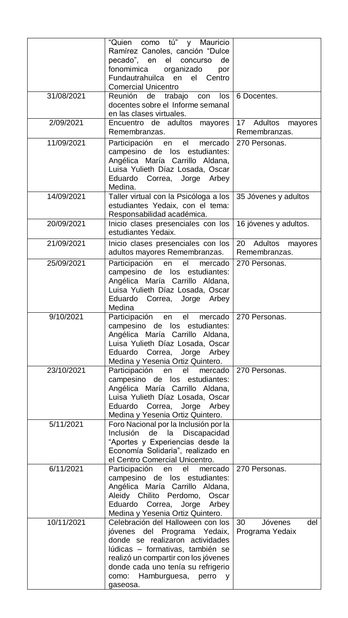|            | "Quien como tú" y Mauricio<br>Ramírez Canoles, canción "Dulce<br>pecado", en<br>el<br>de<br>concurso<br>fonomimica organizado<br>por<br>Fundautrahuilca en<br>el Centro<br><b>Comercial Unicentro</b>                                                                             |                                         |
|------------|-----------------------------------------------------------------------------------------------------------------------------------------------------------------------------------------------------------------------------------------------------------------------------------|-----------------------------------------|
| 31/08/2021 | Reunión de trabajo con<br>los<br>docentes sobre el Informe semanal<br>en las clases virtuales.                                                                                                                                                                                    | 6 Docentes.                             |
| 2/09/2021  | Encuentro de adultos mayores<br>Remembranzas.                                                                                                                                                                                                                                     | 17 Adultos<br>mayores<br>Remembranzas.  |
| 11/09/2021 | Participación en<br>el<br>270 Personas.<br>mercado<br>campesino de los estudiantes:<br>Angélica María Carrillo Aldana,<br>Luisa Yulieth Díaz Losada, Oscar<br>Eduardo Correa, Jorge Arbey<br>Medina.                                                                              |                                         |
| 14/09/2021 | Taller virtual con la Psicóloga a los<br>35 Jóvenes y adultos<br>estudiantes Yedaix, con el tema:<br>Responsabilidad académica.                                                                                                                                                   |                                         |
| 20/09/2021 | Inicio clases presenciales con los<br>estudiantes Yedaix.                                                                                                                                                                                                                         | 16 jóvenes y adultos.                   |
| 21/09/2021 | Inicio clases presenciales con los<br>adultos mayores Remembranzas.                                                                                                                                                                                                               | 20 Adultos<br>mayores<br>Remembranzas.  |
| 25/09/2021 | Participación en<br>el<br>mercado<br>campesino de los estudiantes:<br>Angélica María Carrillo Aldana,<br>Luisa Yulieth Díaz Losada, Oscar<br>Eduardo<br>Correa, Jorge Arbey<br>Medina                                                                                             | 270 Personas.                           |
| 9/10/2021  | Participación<br>el<br>mercado  <br>en<br>campesino de los estudiantes:<br>Angélica María Carrillo Aldana,<br>Luisa Yulieth Díaz Losada, Oscar<br>Eduardo Correa, Jorge Arbey<br>Medina y Yesenia Ortiz Quintero.                                                                 | 270 Personas.                           |
| 23/10/2021 | Participación en<br>el<br>mercado<br>campesino de los estudiantes:<br>Angélica María Carrillo Aldana,<br>Luisa Yulieth Díaz Losada, Oscar<br>Eduardo Correa, Jorge Arbey<br>Medina y Yesenia Ortiz Quintero.                                                                      | 270 Personas.                           |
| 5/11/2021  | Foro Nacional por la Inclusión por la<br>de la<br>Discapacidad<br>Inclusión<br>"Aportes y Experiencias desde la<br>Economía Solidaria", realizado en<br>el Centro Comercial Unicentro.                                                                                            |                                         |
| 6/11/2021  | Participación en<br>el<br>mercado<br>campesino de los estudiantes:<br>Angélica María Carrillo Aldana,<br>Aleidy Chilito Perdomo,<br>Oscar<br>Eduardo<br>Correa, Jorge Arbey<br>Medina y Yesenia Ortiz Quintero.                                                                   | 270 Personas.                           |
| 10/11/2021 | Celebración del Halloween con los<br>jóvenes del Programa Yedaix,<br>donde se realizaron actividades<br>lúdicas - formativas, también se<br>realizó un compartir con los jóvenes<br>donde cada uno tenía su refrigerio<br>como: Hamburguesa,<br>perro<br>$\mathsf{v}$<br>gaseosa. | 30<br>del<br>Jóvenes<br>Programa Yedaix |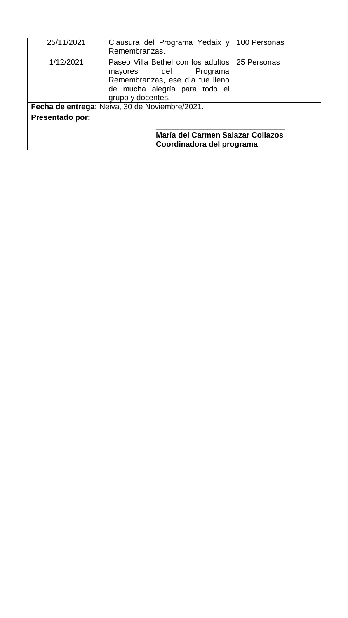| 25/11/2021                                     | Remembranzas.                                                                                                                                                        | Clausura del Programa Yedaix y 100 Personas                    |  |
|------------------------------------------------|----------------------------------------------------------------------------------------------------------------------------------------------------------------------|----------------------------------------------------------------|--|
| 1/12/2021                                      | Paseo Villa Bethel con los adultos   25 Personas<br>mayores del<br>Programa<br>Remembranzas, ese día fue lleno<br>de mucha alegría para todo el<br>grupo y docentes. |                                                                |  |
| Fecha de entrega: Neiva, 30 de Noviembre/2021. |                                                                                                                                                                      |                                                                |  |
| <b>Presentado por:</b>                         |                                                                                                                                                                      | María del Carmen Salazar Collazos<br>Coordinadora del programa |  |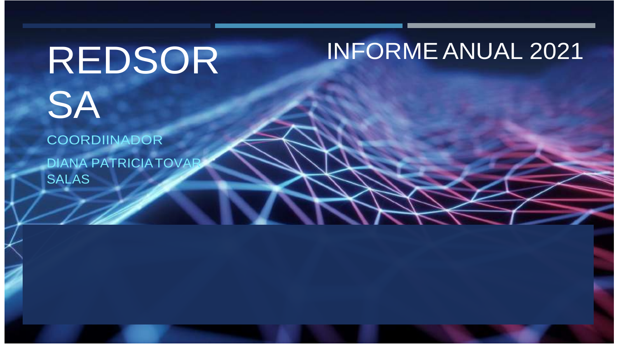# REDSOR **SA**

### COORDIINADOR

DIANA PATRICIATOVAR SALAS

# INFORME ANUAL 2021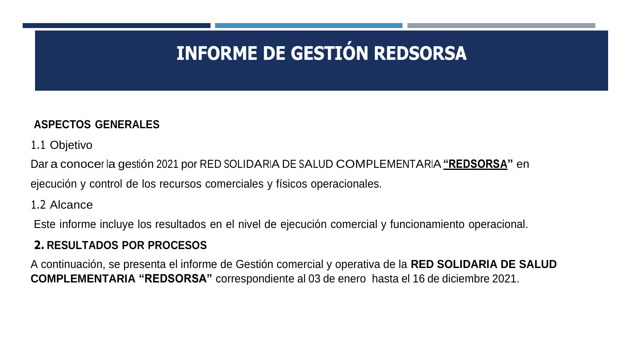# **INFORME DE GESTIÓN REDSORSA**

### **ASPECTOS GENERALES**

1.1 Objetivo

Dar a conocer la gestión 2021 por RED SOLIDARIA DE SALUD COMPLEMENTARIA**"REDSORSA"** en ejecución y control de los recursos comerciales y físicos operacionales.

1.2 Alcance

Este informe incluye los resultados en el nivel de ejecución comercial y funcionamiento operacional.

### **2. RESULTADOS POR PROCESOS**

A continuación, se presenta el informe de Gestión comercial y operativa de la **RED SOLIDARIA DE SALUD COMPLEMENTARIA "REDSORSA"** correspondiente al 03 de enero hasta el 16 de diciembre 2021.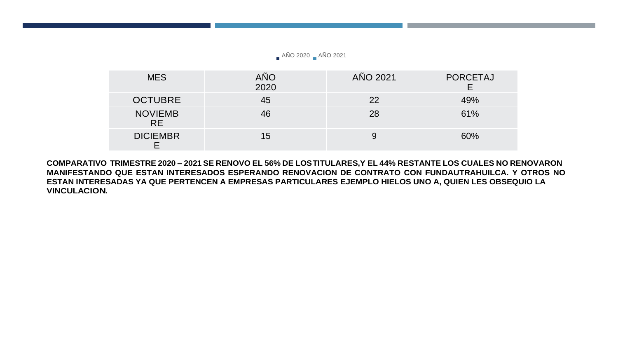AÑO 2020 AÑO 2021

| <b>MES</b>                  | AÑO<br>2020 | AÑO 2021 | <b>PORCETAJ</b> |
|-----------------------------|-------------|----------|-----------------|
| <b>OCTUBRE</b>              | 45          | 22       | 49%             |
| <b>NOVIEMB</b><br><b>RE</b> | 46          | 28       | 61%             |
| <b>DICIEMBR</b>             | 15          | 9        | 60%             |

COMPARATIVO TRIMESTRE 2020 - 2021 SE RENOVO EL 56% DE LOSTITULARES, Y EL 44% RESTANTE LOS CUALES NO RENOVARON **MANIFESTANDO QUE ESTAN INTERESADOS ESPERANDO RENOVACION DE CONTRATO CON FUNDAUTRAHUILCA. Y OTROS NO ESTAN INTERESADAS YA QUE PERTENCEN A EMPRESAS PARTICULARES EJEMPLO HIELOS UNO A, QUIEN LES OBSEQUIO LA VINCULACION.**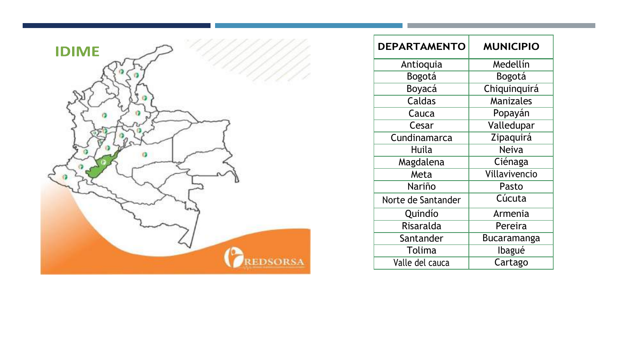

| <b>DEPARTAMENTO</b> | <b>MUNICIPIO</b> |
|---------------------|------------------|
| Antioquia           | Medellín         |
| Bogotá              | Bogotá           |
| Boyacá              | Chiquinquirá     |
| Caldas              | <b>Manizales</b> |
| Cauca               | Popayán          |
| Cesar               | Valledupar       |
| Cundinamarca        | Zipaquirá        |
| Huila               | <b>Neiva</b>     |
| Magdalena           | Ciénaga          |
| Meta                | Villavivencio    |
| Nariño              | Pasto            |
| Norte de Santander  | Cúcuta           |
| Quindío             | Armenia          |
| Risaralda           | Pereira          |
| Santander           | Bucaramanga      |
| Tolima              | Ibagué           |
| Valle del cauca     | Cartago          |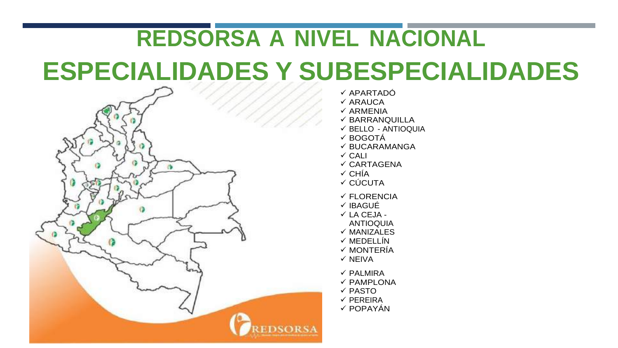# **REDSORSA A NIVEL NACIONAL ESPECIALIDADES Y SUBESPECIALIDADES**



 APARTADÓ  $\checkmark$  ARAUCA  $\checkmark$  ARMENIA  $\checkmark$  BARRANQUILLA  $\checkmark$  BELLO - ANTIOQUIA BOGOTÁ  $\checkmark$  BUCARAMANGA  $\checkmark$  CALI  $\checkmark$  CARTAGENA  $\checkmark$  CHÍA  $\checkmark$  CÚCUTA FLORENCIA √ IBAGUÉ  $\checkmark$  LA CEJA -ANTIOQUIA  $\checkmark$  MANIZALES  $\checkmark$  MEDELLÍN  $\checkmark$  MONTERÍA  $\checkmark$  NFIVA  $\checkmark$  PALMIRA  $\checkmark$  PAMPLONA  $\checkmark$  PASTO  $\checkmark$  PEREIRA  $\checkmark$  POPAYÁN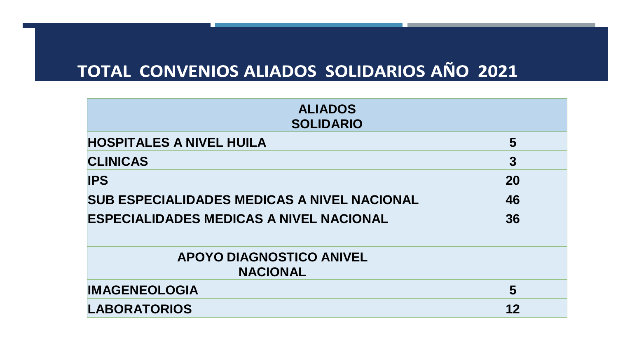### TOTAL CONVENIOS ALIADOS SOLIDARIOS AÑO 2021

| <b>ALIADOS</b><br><b>SOLIDARIO</b>                 |                |  |
|----------------------------------------------------|----------------|--|
| <b>HOSPITALES A NIVEL HUILA</b>                    | 5              |  |
| <b>CLINICAS</b>                                    | $\overline{3}$ |  |
| <b>IPS</b>                                         | <b>20</b>      |  |
| <b>SUB ESPECIALIDADES MEDICAS A NIVEL NACIONAL</b> | 46             |  |
| <b>ESPECIALIDADES MEDICAS A NIVEL NACIONAL</b>     | 36             |  |
|                                                    |                |  |
| <b>APOYO DIAGNOSTICO ANIVEL</b>                    |                |  |
| <b>NACIONAL</b>                                    |                |  |
| <b>IMAGENEOLOGIA</b>                               | 5              |  |
| <b>LABORATORIOS</b>                                | 12             |  |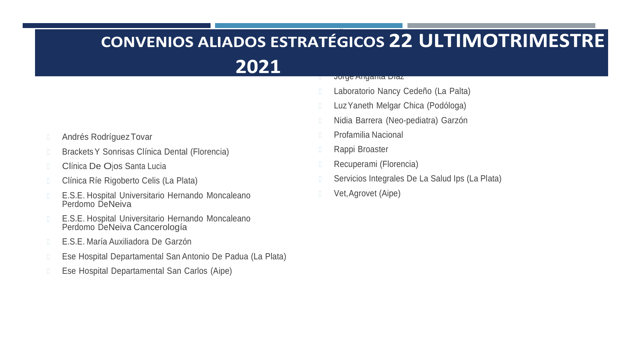#### $\overline{\phantom{a}}$  $\blacksquare$ 2021 <sup>◾</sup> Jorge Angarita Díaz

- Laboratorio Nancy Cedeño (La Palta)
- Luz Yaneth Melgar Chica (Podóloga)
- <sup>◾</sup> Nidia Barrera (Neo-pediatra) Garzón
- Profamilia Nacional
- Rappi Broaster
- Recuperami (Florencia)
- Servicios Integrales De La Salud Ips (La Plata)
- Vet, Agrovet (Aipe)
- **E** Andrés Rodríguez Tovar
- **Brackets Y Sonrisas Clínica Dental (Florencia)**
- **Elínica De Ojos Santa Lucia**
- <sup>◾</sup> Clínica Ríe Rigoberto Celis (La Plata)
- E.S.E. Hospital Universitario Hernando Moncaleano Perdomo DeNeiva
- E.S.E. Hospital Universitario Hernando Moncaleano Perdomo DeNeiva Cancerología
- <sup>◾</sup> E.S.E. María Auxiliadora De Garzón
- <sup>◾</sup> Ese Hospital Departamental San Antonio De Padua (La Plata)
- Ese Hospital Departamental San Carlos (Aipe)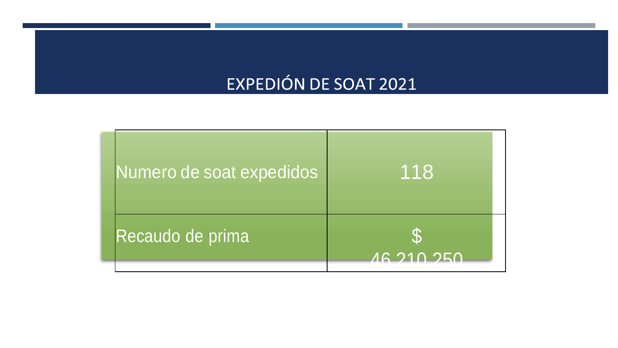### EXPEDIÓN DE SOAT 2021

| Numero de soat expedidos | 118               |
|--------------------------|-------------------|
| Recaudo de prima         | <b>AG 210 250</b> |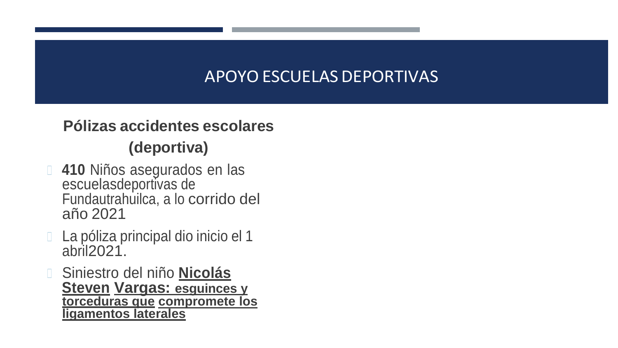### APOYO ESCUELAS DEPORTIVAS

### **Pólizas accidentes escolares (deportiva)**

- **1 410** Niños asegurados en las escuelasdeportivas de Fundautrahuilca, a lo corrido del año 2021
- □ La póliza principal dio inicio el 1 abril2021.
- <sup>◾</sup> Siniestro del niño **Nicolás Steven Vargas: esguinces y torceduras que compromete los ligamentos laterales**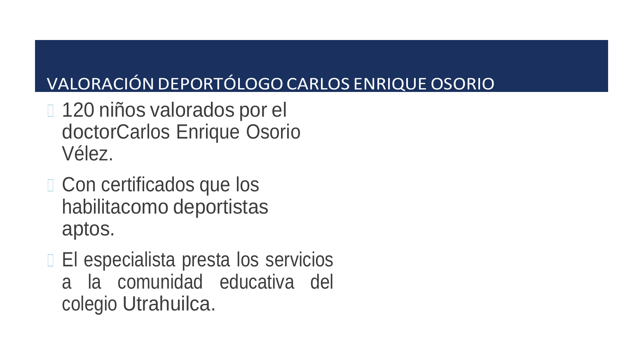### VALORACIÓN DEPORTÓLOGO CARLOS ENRIQUE OSORIO

- □ 120 niños valorados por el doctorCarlos Enrique Osorio Vélez.
- □ Con certificados que los habilitacomo deportistas aptos.
- □ El especialista presta los servicios a la comunidad educativa del colegio Utrahuilca.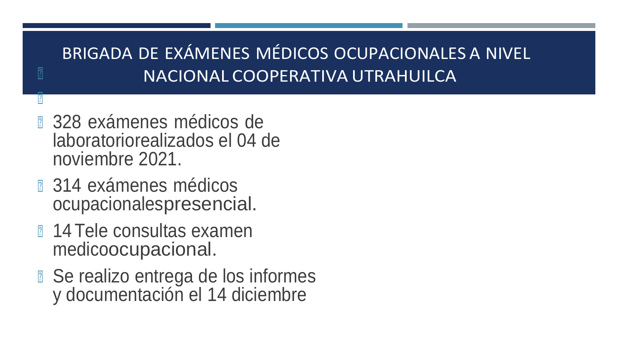### BRIGADA DE EXÁMENES MÉDICOS OCUPACIONALES A NIVEL **I** NACIONAL COOPERATIVA UTRAHUILCA

- **a 328 exámenes médicos de** laboratoriorealizados el 04 de noviembre 2021.
- **a** 314 exámenes médicos ocupacionalespresencial.

 $\mathbf{E}$ 

- **14 Tele consultas examen** medicoocupacional.
- Se realizo entrega de los informes y documentación el 14 diciembre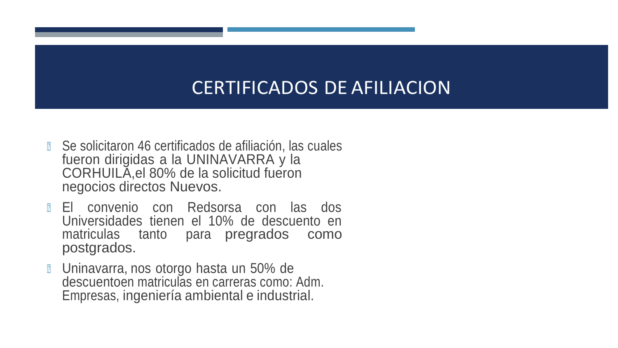### CERTIFICADOS DE AFILIACION

- Se solicitaron 46 certificados de afiliación, las cuales fueron dirigidas a la UNINAVARRA y la CORHUILA,el 80% de la solicitud fueron negocios directos Nuevos.
- <sup>◾</sup> El convenio con Redsorsa con las dos Universidades tienen el 10% de descuento en matriculas tanto para pregrados como postgrados.
- <sup>◾</sup> Uninavarra, nos otorgo hasta un 50% de descuentoen matriculas en carreras como: Adm. Empresas, ingeniería ambiental e industrial.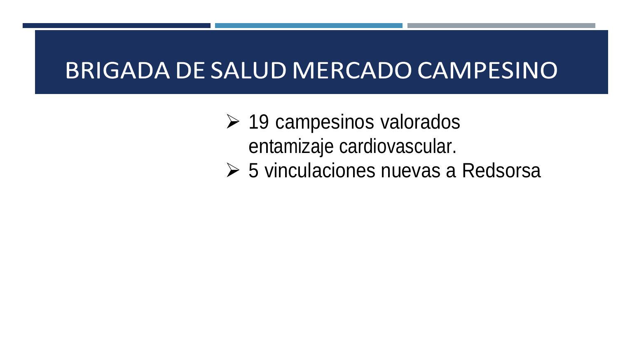# **BRIGADA DE SALUD MERCADO CAMPESINO**

 $\geq$  19 campesinos valorados entamizaje cardiovascular.

5 vinculaciones nuevas a Redsorsa